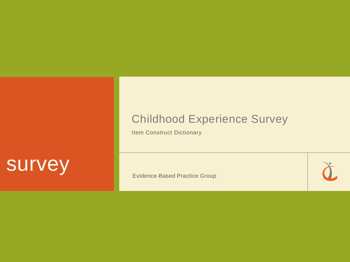## Childhood Experience Survey

Item Construct Dictionary

# survey

Evidence-Based Practice Group

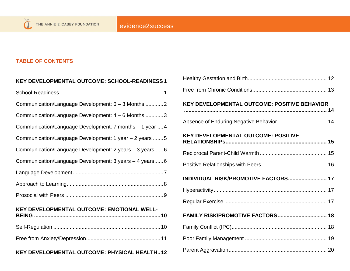#### **TABLE OF CONTENTS**

| KEY DEVELOPMENTAL OUTCOME: SCHOOL-READINESS 1            |
|----------------------------------------------------------|
|                                                          |
| Communication/Language Development: 0 - 3 Months 2       |
| Communication/Language Development: 4 - 6 Months 3       |
| Communication/Language Development: 7 months - 1 year  4 |
| Communication/Language Development: 1 year - 2 years 5   |
| Communication/Language Development: 2 years - 3 years6   |
| Communication/Language Development: 3 years - 4 years6   |
|                                                          |
|                                                          |
|                                                          |
| KEY DEVELOPMENTAL OUTCOME: EMOTIONAL WELL-               |
|                                                          |
|                                                          |
| KEY DEVELOPMENTAL OUTCOME: PHYSICAL HEALTH12             |

| KEY DEVELOPMENTAL OUTCOME: POSITIVE BEHAVIOR |
|----------------------------------------------|
| Absence of Enduring Negative Behavior 14     |
| <b>KEY DEVELOPMENTAL OUTCOME: POSITIVE</b>   |
|                                              |
|                                              |
| INDIVIDUAL RISK/PROMOTIVE FACTORS 17         |
|                                              |
|                                              |
| FAMILY RISK/PROMOTIVE FACTORS 18             |
|                                              |
|                                              |
|                                              |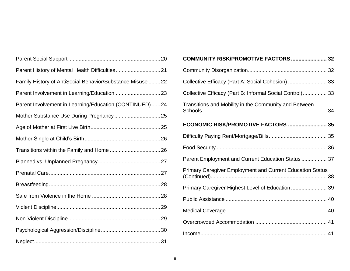| Family History of AntiSocial Behavior/Substance Misuse  22 |  |
|------------------------------------------------------------|--|
|                                                            |  |
| Parent Involvement in Learning/Education (CONTINUED) 24    |  |
|                                                            |  |
|                                                            |  |
|                                                            |  |
|                                                            |  |
|                                                            |  |
|                                                            |  |
|                                                            |  |
|                                                            |  |
|                                                            |  |
|                                                            |  |
|                                                            |  |
|                                                            |  |

| COMMUNITY RISK/PROMOTIVE FACTORS  32                             |
|------------------------------------------------------------------|
|                                                                  |
| Collective Efficacy (Part A: Social Cohesion)  33                |
| Collective Efficacy (Part B: Informal Social Control) 33         |
| Transitions and Mobility in the Community and Between            |
| ECONOMIC RISK/PROMOTIVE FACTORS  35                              |
|                                                                  |
|                                                                  |
| Parent Employment and Current Education Status  37               |
| <b>Primary Caregiver Employment and Current Education Status</b> |
| Primary Caregiver Highest Level of Education  39                 |
|                                                                  |
|                                                                  |
|                                                                  |
|                                                                  |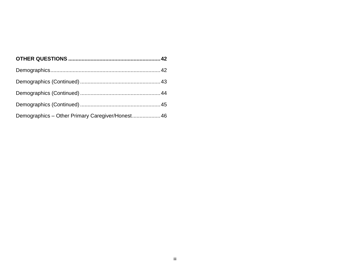| Demographics - Other Primary Caregiver/Honest 46 |  |
|--------------------------------------------------|--|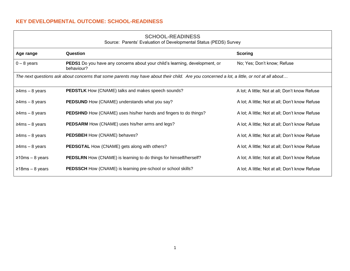#### <span id="page-4-0"></span>**KEY DEVELOPMENTAL OUTCOME: SCHOOL-READINESS**

| <b>SCHOOL-READINESS</b>                                           |  |
|-------------------------------------------------------------------|--|
| Source: Parents' Evaluation of Developmental Status (PEDS) Survey |  |

<span id="page-4-1"></span>

| Age range                                                                                                                                  | Question                                                                                         | <b>Scoring</b>                                 |  |
|--------------------------------------------------------------------------------------------------------------------------------------------|--------------------------------------------------------------------------------------------------|------------------------------------------------|--|
| $0 - 8$ years                                                                                                                              | <b>PEDS1</b> Do you have any concerns about your child's learning, development, or<br>behaviour? | No; Yes; Don't know; Refuse                    |  |
| The next questions ask about concerns that some parents may have about their child. Are you concerned a lot, a little, or not at all about |                                                                                                  |                                                |  |
| $\geq$ 4ms – 8 years                                                                                                                       | <b>PEDSTLK</b> How (CNAME) talks and makes speech sounds?                                        | A lot; A little; Not at all; Don't know Refuse |  |
| $\geq$ 4ms – 8 years                                                                                                                       | <b>PEDSUND</b> How (CNAME) understands what you say?                                             | A lot; A little; Not at all; Don't know Refuse |  |
| $\geq$ 4ms – 8 years                                                                                                                       | <b>PEDSHND</b> How (CNAME) uses his/her hands and fingers to do things?                          | A lot; A little; Not at all; Don't know Refuse |  |
| $\geq$ 4ms – 8 years                                                                                                                       | <b>PEDSARM</b> How (CNAME) uses his/her arms and legs?                                           | A lot; A little; Not at all; Don't know Refuse |  |
| $\geq$ 4ms – 8 years                                                                                                                       | PEDSBEH How (CNAME) behaves?                                                                     | A lot; A little; Not at all; Don't know Refuse |  |
| $\geq$ 4ms – 8 years                                                                                                                       | <b>PEDSGTAL How (CNAME) gets along with others?</b>                                              | A lot; A little; Not at all; Don't know Refuse |  |
| $\geq$ 10ms – 8 years                                                                                                                      | <b>PEDSLRN</b> How (CNAME) is learning to do things for himself/herself?                         | A lot; A little; Not at all; Don't know Refuse |  |
| $≥18ms - 8 years$                                                                                                                          | <b>PEDSSCH</b> How (CNAME) is learning pre-school or school skills?                              | A lot; A little; Not at all; Don't know Refuse |  |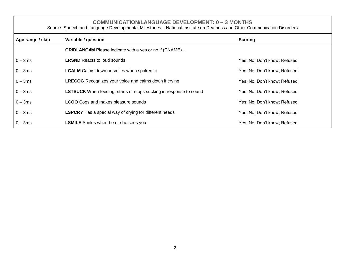**COMMUNICATION/LANGUAGE DEVELOPMENT: 0 – 3 MONTHS**

<span id="page-5-0"></span>

| Source: Speech and Language Developmental Milestones - National Institute on Deafness and Other Communication Disorders |                                                                           |                              |  |
|-------------------------------------------------------------------------------------------------------------------------|---------------------------------------------------------------------------|------------------------------|--|
| Age range / skip                                                                                                        | Variable / question                                                       | <b>Scoring</b>               |  |
|                                                                                                                         | <b>GRIDLANG4M</b> Please indicate with a yes or no if (CNAME)             |                              |  |
| $0 - 3ms$                                                                                                               | <b>LRSND</b> Reacts to loud sounds                                        | Yes; No; Don't know; Refused |  |
| $0 - 3ms$                                                                                                               | <b>LCALM</b> Calms down or smiles when spoken to                          | Yes; No; Don't know; Refused |  |
| $0 - 3ms$                                                                                                               | <b>LRECOG</b> Recognizes your voice and calms down if crying              | Yes; No; Don't know; Refused |  |
| $0 - 3ms$                                                                                                               | <b>LSTSUCK</b> When feeding, starts or stops sucking in response to sound | Yes; No; Don't know; Refused |  |
| $0 - 3ms$                                                                                                               | <b>LCOO</b> Coos and makes pleasure sounds                                | Yes; No; Don't know; Refused |  |
| $0 - 3ms$                                                                                                               | <b>LSPCRY</b> Has a special way of crying for different needs             | Yes; No; Don't know; Refused |  |
| $0 - 3ms$                                                                                                               | <b>LSMILE</b> Smiles when he or she sees you                              | Yes; No; Don't know; Refused |  |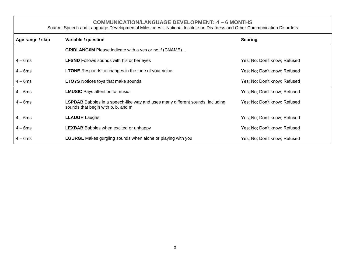**COMMUNICATION/LANGUAGE DEVELOPMENT: 4 – 6 MONTHS**

<span id="page-6-0"></span>

| Source: Speech and Language Developmental Milestones - National Institute on Deafness and Other Communication Disorders |                                                                                                                            |                              |  |
|-------------------------------------------------------------------------------------------------------------------------|----------------------------------------------------------------------------------------------------------------------------|------------------------------|--|
| Age range / skip                                                                                                        | Variable / question                                                                                                        | <b>Scoring</b>               |  |
|                                                                                                                         | <b>GRIDLANG6M</b> Please indicate with a yes or no if (CNAME)                                                              |                              |  |
| $4 - 6$ ms                                                                                                              | <b>LFSND</b> Follows sounds with his or her eyes                                                                           | Yes; No; Don't know; Refused |  |
| $4 - 6$ ms                                                                                                              | <b>LTONE</b> Responds to changes in the tone of your voice                                                                 | Yes; No; Don't know; Refused |  |
| $4-6ms$                                                                                                                 | <b>LTOYS</b> Notices toys that make sounds                                                                                 | Yes; No; Don't know; Refused |  |
| $4 - 6$ ms                                                                                                              | <b>LMUSIC</b> Pays attention to music                                                                                      | Yes; No; Don't know; Refused |  |
| $4 - 6$ ms                                                                                                              | <b>LSPBAB</b> Babbles in a speech-like way and uses many different sounds, including<br>sounds that begin with p, b, and m | Yes; No; Don't know; Refused |  |
| $4-6ms$                                                                                                                 | <b>LLAUGH</b> Laughs                                                                                                       | Yes; No; Don't know; Refused |  |
| $4 - 6$ ms                                                                                                              | <b>LEXBAB</b> Babbles when excited or unhappy                                                                              | Yes; No; Don't know; Refused |  |
| $4 - 6$ ms                                                                                                              | <b>LGURGL</b> Makes gurgling sounds when alone or playing with you                                                         | Yes; No; Don't know; Refused |  |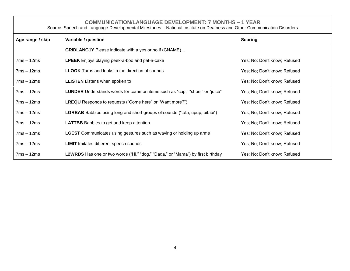#### **COMMUNICATION/LANGUAGE DEVELOPMENT: 7 MONTHS – 1 YEAR**

<span id="page-7-0"></span>

| Source: Speech and Language Developmental Milestones – National Institute on Deafness and Other Communication Disorders |                                                                                    |                              |  |
|-------------------------------------------------------------------------------------------------------------------------|------------------------------------------------------------------------------------|------------------------------|--|
| Age range / skip                                                                                                        | Variable / question                                                                | <b>Scoring</b>               |  |
|                                                                                                                         | <b>GRIDLANG1Y</b> Please indicate with a yes or no if (CNAME)                      |                              |  |
| $7ms - 12ms$                                                                                                            | <b>LPEEK</b> Enjoys playing peek-a-boo and pat-a-cake                              | Yes; No; Don't know; Refused |  |
| $7ms - 12ms$                                                                                                            | <b>LLOOK</b> Turns and looks in the direction of sounds                            | Yes; No; Don't know; Refused |  |
| $7ms - 12ms$                                                                                                            | <b>LLISTEN</b> Listens when spoken to                                              | Yes; No; Don't know; Refused |  |
| $7ms - 12ms$                                                                                                            | LUNDER Understands words for common items such as "cup," "shoe," or "juice"        | Yes; No; Don't know; Refused |  |
| $7ms - 12ms$                                                                                                            | <b>LREQU</b> Responds to requests ("Come here" or "Want more?")                    | Yes; No; Don't know; Refused |  |
| $7ms - 12ms$                                                                                                            | <b>LGRBAB</b> Babbles using long and short groups of sounds ("tata, upup, bibibi") | Yes; No; Don't know; Refused |  |
| $7ms - 12ms$                                                                                                            | <b>LATTBB</b> Babbles to get and keep attention                                    | Yes; No; Don't know; Refused |  |
| $7ms - 12ms$                                                                                                            | <b>LGEST</b> Communicates using gestures such as waving or holding up arms         | Yes; No; Don't know; Refused |  |
| $7ms - 12ms$                                                                                                            | <b>LIMIT</b> Imitates different speech sounds                                      | Yes; No; Don't know; Refused |  |
| $7ms - 12ms$                                                                                                            | L2WRDS Has one or two words ("Hi," "dog," "Dada," or "Mama") by first birthday     | Yes; No; Don't know; Refused |  |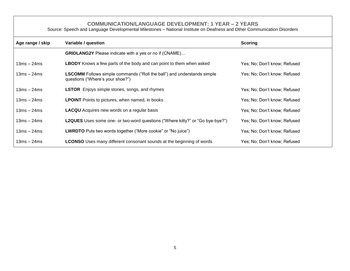#### **COMMUNICATION/LANGUAGE DEVELOPMENT: 1 YEAR – 2 YEARS**

<span id="page-8-0"></span>

| Age range / skip | Variable / question                                                                                                | <b>Scoring</b>               |
|------------------|--------------------------------------------------------------------------------------------------------------------|------------------------------|
|                  | <b>GRIDLANG2Y</b> Please indicate with a yes or no if (CNAME)                                                      |                              |
| $13ms - 24ms$    | <b>LBODY</b> Knows a few parts of the body and can point to them when asked                                        | Yes; No; Don't know; Refused |
| $13ms - 24ms$    | <b>LSCOMM</b> Follows simple commands ("Roll the ball") and understands simple<br>questions ("Where's your shoe?") | Yes; No; Don't know; Refused |
| $13ms - 24ms$    | <b>LSTOR</b> Enjoys simple stories, songs, and rhymes                                                              | Yes; No; Don't know; Refused |
| $13ms - 24ms$    | <b>LPOINT</b> Points to pictures, when named, in books                                                             | Yes; No; Don't know; Refused |
| $13ms - 24ms$    | <b>LACQU</b> Acquires new words on a regular basis                                                                 | Yes; No; Don't know; Refused |
| $13ms - 24ms$    | <b>L2QUES</b> Uses some one- or two-word questions ("Where kitty?" or "Go bye-bye?")                               | Yes; No; Don't know; Refused |
| $13ms - 24ms$    | <b>LWRDTO</b> Puts two words together ("More cookie" or "No juice")                                                | Yes; No; Don't know; Refused |
| $13ms - 24ms$    | <b>LCONSO</b> Uses many different consonant sounds at the beginning of words                                       | Yes; No; Don't know; Refused |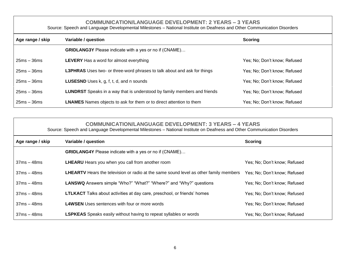**COMMUNICATION/LANGUAGE DEVELOPMENT: 2 YEARS – 3 YEARS** Source: Speech and Language Developmental Milestones – National Institute on Deafness and Other Communication Disorders

<span id="page-9-0"></span>

| Age range / skip | Variable / question                                                             | <b>Scoring</b>               |
|------------------|---------------------------------------------------------------------------------|------------------------------|
|                  | <b>GRIDLANG3Y</b> Please indicate with a yes or no if (CNAME)                   |                              |
| $25ms - 36ms$    | <b>LEVERY</b> Has a word for almost everything                                  | Yes; No; Don't know; Refused |
| $25ms - 36ms$    | <b>L3PHRAS</b> Uses two- or three-word phrases to talk about and ask for things | Yes; No; Don't know; Refused |
| $25ms - 36ms$    | <b>LUSESND</b> Uses k, g, f, t, d, and n sounds                                 | Yes; No; Don't know; Refused |
| $25ms - 36ms$    | <b>LUNDRST</b> Speaks in a way that is understood by family members and friends | Yes; No; Don't know; Refused |
| $25ms - 36ms$    | <b>LNAMES</b> Names objects to ask for them or to direct attention to them      | Yes; No; Don't know; Refused |

<span id="page-9-1"></span>

| <b>COMMUNICATION/LANGUAGE DEVELOPMENT: 3 YEARS - 4 YEARS</b><br>Source: Speech and Language Developmental Milestones - National Institute on Deafness and Other Communication Disorders |                                                                                              |                              |
|-----------------------------------------------------------------------------------------------------------------------------------------------------------------------------------------|----------------------------------------------------------------------------------------------|------------------------------|
| Age range / skip                                                                                                                                                                        | Variable / question                                                                          | <b>Scoring</b>               |
|                                                                                                                                                                                         | <b>GRIDLANG4Y</b> Please indicate with a yes or no if (CNAME)                                |                              |
| $37ms - 48ms$                                                                                                                                                                           | LHEARU Hears you when you call from another room                                             | Yes; No; Don't know; Refused |
| $37ms - 48ms$                                                                                                                                                                           | <b>LHEARTV</b> Hears the television or radio at the same sound level as other family members | Yes; No; Don't know; Refused |
| $37ms - 48ms$                                                                                                                                                                           | <b>LANSWQ</b> Answers simple "Who?" "What?" "Where?" and "Why?" questions                    | Yes; No; Don't know; Refused |
| $37ms - 48ms$                                                                                                                                                                           | LTLKACT Talks about activities at day care, preschool, or friends' homes                     | Yes; No; Don't know; Refused |
| $37ms - 48ms$                                                                                                                                                                           | <b>L4WSEN</b> Uses sentences with four or more words                                         | Yes; No; Don't know; Refused |
| $37ms - 48ms$                                                                                                                                                                           | <b>LSPKEAS</b> Speaks easily without having to repeat syllables or words                     | Yes; No; Don't know; Refused |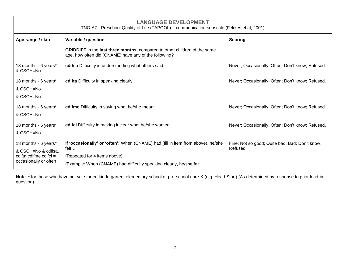<span id="page-10-0"></span>

| <b>LANGUAGE DEVELOPMENT</b><br>TNO-AZL Preschool Quality of Life (TAPQOL) - communication subscale (Fekkes et al, 2001) |                                                                                                                                           |                                                  |
|-------------------------------------------------------------------------------------------------------------------------|-------------------------------------------------------------------------------------------------------------------------------------------|--------------------------------------------------|
| Age range / skip                                                                                                        | Variable / question                                                                                                                       | <b>Scoring</b>                                   |
|                                                                                                                         | <b>GRIDDIFF</b> In the last three months, compared to other children of the same<br>age, how often did (CNAME) have any of the following? |                                                  |
| 18 months - 6 years*<br>& CSCH=No                                                                                       | cdifsa Difficulty in understanding what others said                                                                                       | Never; Occasionally; Often; Don't know; Refused. |
| 18 months - 6 years*                                                                                                    | cdifta Difficulty in speaking clearly                                                                                                     | Never; Occasionally; Often; Don't know; Refused. |
| & CSCH=No                                                                                                               |                                                                                                                                           |                                                  |
| & CSCH=No                                                                                                               |                                                                                                                                           |                                                  |
| 18 months - 6 years*                                                                                                    | cdifme Difficulty in saying what he/she meant                                                                                             | Never; Occasionally; Often; Don't know; Refused. |
| & CSCH=No                                                                                                               |                                                                                                                                           |                                                  |
| 18 months - 6 years*                                                                                                    | cdifcl Difficulty in making it clear what he/she wanted                                                                                   | Never; Occasionally; Often; Don't know; Refused. |
| & CSCH=No                                                                                                               |                                                                                                                                           |                                                  |
| 18 months - 6 years*                                                                                                    | If 'occasionally' or 'often': When (CNAME) had (fill in item from above), he/she                                                          | Fine; Not so good; Quite bad; Bad; Don't know;   |
| & CSCH=No & cdifsa,                                                                                                     | felt                                                                                                                                      | Refused.                                         |
| cdifta cdifme cdifcl $=$                                                                                                | (Repeated for 4 items above)                                                                                                              |                                                  |
| occasionally or often                                                                                                   | (Example: When (CNAME) had difficulty speaking clearly, he/she felt                                                                       |                                                  |

**Note**: \* for those who have not yet started kindergarten, elementary school or pre-school / pre-K (e.g. Head Start) (As determined by response to prior lead-in question)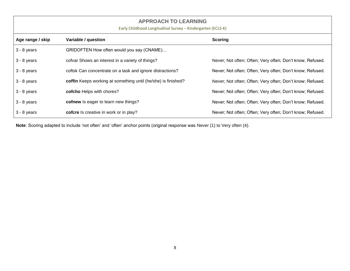<span id="page-11-0"></span>

| <b>APPROACH TO LEARNING</b><br>Early Childhood Longitudinal Survey - Kindergarten (ECLS-K) |                                                               |                                                           |
|--------------------------------------------------------------------------------------------|---------------------------------------------------------------|-----------------------------------------------------------|
| Age range / skip                                                                           | Variable / question                                           | <b>Scoring</b>                                            |
| $3 - 8$ years                                                                              | GRIDOFTEN How often would you say (CNAME)                     |                                                           |
| $3 - 8$ years                                                                              | cofvar Shows an interest in a variety of things?              | Never; Not often; Often; Very often; Don't know, Refused. |
| $3 - 8$ years                                                                              | coftsk Can concentrate on a task and ignore distractions?     | Never; Not often; Often; Very often; Don't know; Refused. |
| $3 - 8$ years                                                                              | coffin Keeps working at something until (he/she) is finished? | Never; Not often; Often; Very often; Don't know; Refused. |
| $3 - 8$ years                                                                              | cofcho Helps with chores?                                     | Never; Not often; Often; Very often; Don't know; Refused. |
| $3 - 8$ years                                                                              | cofnew Is eager to learn new things?                          | Never; Not often; Often; Very often; Don't know; Refused. |
| $3 - 8$ years                                                                              | cofcre Is creative in work or in play?                        | Never; Not often; Often; Very often; Don't know; Refused. |

**Note**: Scoring adapted to include 'not often' and 'often' anchor points (original response was Never (1) to Very often (4).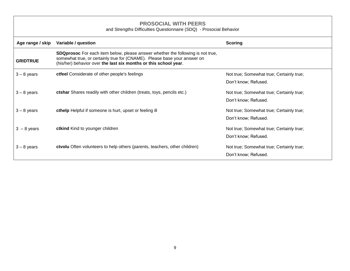<span id="page-12-0"></span>

| <b>PROSOCIAL WITH PEERS</b><br>and Strengths Difficulties Questionnaire (SDQ) - Prosocial Behavior |                                                                                                                                                                                                                                        |                                                                  |
|----------------------------------------------------------------------------------------------------|----------------------------------------------------------------------------------------------------------------------------------------------------------------------------------------------------------------------------------------|------------------------------------------------------------------|
| Age range / skip                                                                                   | Variable / question                                                                                                                                                                                                                    | <b>Scoring</b>                                                   |
| <b>GRIDTRUE</b>                                                                                    | <b>SDQprosoc</b> For each item below, please answer whether the following is not true,<br>somewhat true, or certainly true for (CNAME). Please base your answer on<br>(his/her) behavior over the last six months or this school year. |                                                                  |
| $3 - 8$ years                                                                                      | ctfeel Considerate of other people's feelings                                                                                                                                                                                          | Not true; Somewhat true; Certainly true;<br>Don't know; Refused. |
| $3 - 8$ years                                                                                      | ctshar Shares readily with other children (treats, toys, pencils etc.)                                                                                                                                                                 | Not true; Somewhat true; Certainly true;<br>Don't know; Refused. |
| $3 - 8$ years                                                                                      | cthelp Helpful if someone is hurt, upset or feeling ill                                                                                                                                                                                | Not true; Somewhat true; Certainly true;<br>Don't know; Refused. |
| $3 - 8$ years                                                                                      | ctkind Kind to younger children                                                                                                                                                                                                        | Not true; Somewhat true; Certainly true;<br>Don't know; Refused. |
| $3 - 8$ years                                                                                      | <b>ctvolu</b> Often volunteers to help others (parents, teachers, other children)                                                                                                                                                      | Not true; Somewhat true; Certainly true;<br>Don't know; Refused. |

 $\sqrt{ }$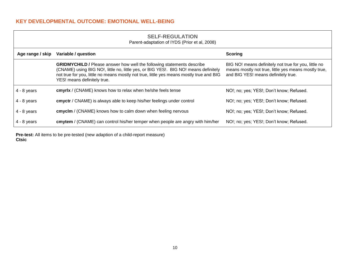#### <span id="page-13-0"></span>**KEY DEVELOPMENTAL OUTCOME: EMOTIONAL WELL-BEING**

<span id="page-13-1"></span>

| <b>SELF-REGULATION</b><br>Parent-adaptation of IYDS (Prior et al, 2008) |                                                                                                                                                                                                                                                                                                |                                                                                                                                                     |
|-------------------------------------------------------------------------|------------------------------------------------------------------------------------------------------------------------------------------------------------------------------------------------------------------------------------------------------------------------------------------------|-----------------------------------------------------------------------------------------------------------------------------------------------------|
| Age range / skip                                                        | Variable / question                                                                                                                                                                                                                                                                            | <b>Scoring</b>                                                                                                                                      |
|                                                                         | <b>GRIDMYCHILD / Please answer how well the following statements describe</b><br>(CNAME) using BIG NO!, little no, little yes, or BIG YES!. BIG NO! means definitely<br>not true for you, little no means mostly not true, little yes means mostly true and BIG<br>YES! means definitely true. | BIG NO! means definitely not true for you, little no<br>means mostly not true, little yes means mostly true,<br>and BIG YES! means definitely true. |
| $4 - 8$ years                                                           | cmyrlx / (CNAME) knows how to relax when he/she feels tense                                                                                                                                                                                                                                    | NO!; no; yes; YES!; Don't know; Refused.                                                                                                            |
| $4 - 8$ years                                                           | cmyctr / CNAME) is always able to keep his/her feelings under control                                                                                                                                                                                                                          | NO!; no; yes; YES!; Don't know; Refused.                                                                                                            |
| $4 - 8$ years                                                           | cmyclm / (CNAME) knows how to calm down when feeling nervous                                                                                                                                                                                                                                   | NO!; no; yes; YES!; Don't know; Refused.                                                                                                            |
| $4 - 8$ years                                                           | cmytem / (CNAME) can control his/her temper when people are angry with him/her                                                                                                                                                                                                                 | NO!; no; yes; YES!; Don't know; Refused.                                                                                                            |

**Pre-test:** All items to be pre-tested (new adaption of a child-report measure) **Ctsic**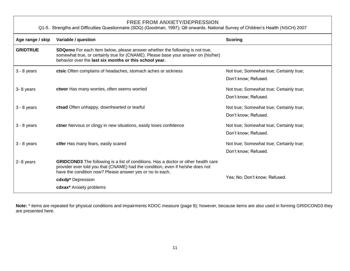#### **FREE FROM ANXIETY/DEPRESSION**

<span id="page-14-0"></span>

| Q1-5. Strengths and Difficulties Questionnaire (SDQ) (Goodman, 1997); Q6 onwards. National Survey of Children's Health (NSCH) 2007 |                                                                                                                                                                                                                                         |                                                                  |
|------------------------------------------------------------------------------------------------------------------------------------|-----------------------------------------------------------------------------------------------------------------------------------------------------------------------------------------------------------------------------------------|------------------------------------------------------------------|
| Age range / skip                                                                                                                   | Variable / question                                                                                                                                                                                                                     | <b>Scoring</b>                                                   |
| <b>GRIDTRUE</b>                                                                                                                    | <b>SDQemo</b> For each item below, please answer whether the following is not true,<br>somewhat true, or certainly true for (CNAME). Please base your answer on (his/her)<br>behavior over the last six months or this school year.     |                                                                  |
| $3 - 8$ years                                                                                                                      | ctsic Often complains of headaches, stomach aches or sickness                                                                                                                                                                           | Not true; Somewhat true; Certainly true;<br>Don't know; Refused. |
| 3-8 years                                                                                                                          | ctwor Has many worries, often seems worried                                                                                                                                                                                             | Not true; Somewhat true; Certainly true;<br>Don't know; Refused. |
| $3 - 8$ years                                                                                                                      | ctsad Often unhappy, downhearted or tearful                                                                                                                                                                                             | Not true; Somewhat true; Certainly true;<br>Don't know; Refused. |
| $3 - 8$ years                                                                                                                      | ctner Nervous or clingy in new situations, easily loses confidence                                                                                                                                                                      | Not true; Somewhat true; Certainly true;<br>Don't know; Refused. |
| $3 - 8$ years                                                                                                                      | ctfer Has many fears, easily scared                                                                                                                                                                                                     | Not true; Somewhat true; Certainly true;<br>Don't know; Refused. |
| 2-8 years                                                                                                                          | <b>GRIDCOND3</b> The following is a list of conditions. Has a doctor or other health care<br>provider ever told you that (CNAME) had the condition, even if he/she does not<br>have the condition now? Please answer yes or no to each. |                                                                  |
|                                                                                                                                    | cdxdp* Depression                                                                                                                                                                                                                       | Yes; No; Don't know; Refused.                                    |
|                                                                                                                                    | cdxax* Anxiety problems                                                                                                                                                                                                                 |                                                                  |

**Note:** \* items are repeated for physical conditions and impairments KDOC measure (page 9); however, because items are also used in forming GRIDCOND3 they are presented here.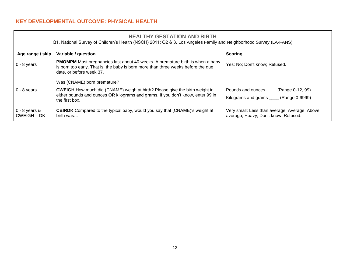#### <span id="page-15-0"></span>**KEY DEVELOPMENTAL OUTCOME: PHYSICAL HEALTH**

#### **HEALTHY GESTATION AND BIRTH**

Q1. National Survey of Children's Health (NSCH) 2011; Q2 & 3. Los Angeles Family and Neighborhood Survey (LA-FANS)

<span id="page-15-1"></span>

| Age range / skip                 | Variable / question                                                                                                                                                                                   | <b>Scoring</b>                                                                        |
|----------------------------------|-------------------------------------------------------------------------------------------------------------------------------------------------------------------------------------------------------|---------------------------------------------------------------------------------------|
| $0 - 8$ years                    | <b>PMOMPM</b> Most pregnancies last about 40 weeks. A premature birth is when a baby<br>is born too early. That is, the baby is born more than three weeks before the due<br>date, or before week 37. | Yes; No; Don't know; Refused.                                                         |
|                                  | Was (CNAME) born premature?                                                                                                                                                                           |                                                                                       |
| $0 - 8$ years                    | <b>CWEIGH</b> How much did (CNAME) weigh at birth? Please give the birth weight in<br>either pounds and ounces OR kilograms and grams. If you don't know, enter 99 in<br>the first box.               | Pounds and ounces _____ (Range 0-12, 99)                                              |
|                                  |                                                                                                                                                                                                       | Kilograms and grams _____ (Range 0-9999)                                              |
| $0 - 8$ years &<br>$CWEIGH = DK$ | <b>CBIRDK</b> Compared to the typical baby, would you say that (CNAME)'s weight at<br>birth was                                                                                                       | Very small; Less than average; Average; Above<br>average; Heavy; Don't know; Refused. |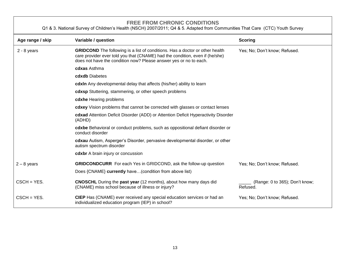#### **FREE FROM CHRONIC CONDITIONS**

Q1 & 3. National Survey of Children's Health (NSCH) 2007/2011; Q4 & 5. Adapted from Communities That Care (CTC) Youth Survey

<span id="page-16-0"></span>

| Age range / skip | Variable / question                                                                                                                                                                                                                      | <b>Scoring</b>                             |
|------------------|------------------------------------------------------------------------------------------------------------------------------------------------------------------------------------------------------------------------------------------|--------------------------------------------|
| $2 - 8$ years    | <b>GRIDCOND</b> The following is a list of conditions. Has a doctor or other health<br>care provider ever told you that (CNAME) had the condition, even if (he/she)<br>does not have the condition now? Please answer yes or no to each. | Yes; No; Don't know; Refused.              |
|                  | cdxas Asthma                                                                                                                                                                                                                             |                                            |
|                  | cdxdb Diabetes                                                                                                                                                                                                                           |                                            |
|                  | <b>cdxIn</b> Any developmental delay that affects (his/her) ability to learn                                                                                                                                                             |                                            |
|                  | cdxsp Stuttering, stammering, or other speech problems                                                                                                                                                                                   |                                            |
|                  | cdxhe Hearing problems                                                                                                                                                                                                                   |                                            |
|                  | cdxey Vision problems that cannot be corrected with glasses or contact lenses                                                                                                                                                            |                                            |
|                  | cdxad Attention Deficit Disorder (ADD) or Attention Deficit Hyperactivity Disorder<br>(ADHD)                                                                                                                                             |                                            |
|                  | cdxbe Behavioral or conduct problems, such as oppositional defiant disorder or<br>conduct disorder                                                                                                                                       |                                            |
|                  | cdxau Autism, Asperger's Disorder, pervasive developmental disorder, or other<br>autism spectrum disorder                                                                                                                                |                                            |
|                  | cdxbr A brain injury or concussion                                                                                                                                                                                                       |                                            |
| $2 - 8$ years    | <b>GRIDCONDCURR</b> For each Yes in GRIDCOND, ask the follow-up question                                                                                                                                                                 | Yes; No; Don't know; Refused.              |
|                  | Does {CNAME} currently have(condition from above list)                                                                                                                                                                                   |                                            |
| $CSCH = YES.$    | <b>CNOSCHL</b> During the <b>past year</b> (12 months), about how many days did<br>(CNAME) miss school because of illness or injury?                                                                                                     | (Range: 0 to 365); Don't know;<br>Refused. |
| $CSCH = YES.$    | CIEP Has (CNAME) ever received any special education services or had an<br>individualized education program (IEP) in school?                                                                                                             | Yes; No; Don't know; Refused.              |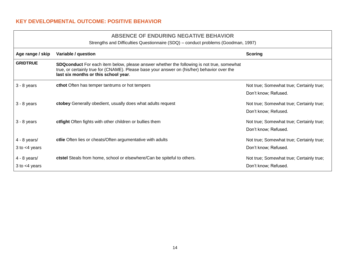#### <span id="page-17-0"></span>**KEY DEVELOPMENTAL OUTCOME: POSITIVE BEHAVIOR**

#### **ABSENCE OF ENDURING NEGATIVE BEHAVIOR**

Strengths and Difficulties Questionnaire (SDQ) – conduct problems (Goodman, 1997)

<span id="page-17-1"></span>

| Age range / skip   | Variable / question                                                                                                                                                                                                                     | <b>Scoring</b>                           |
|--------------------|-----------------------------------------------------------------------------------------------------------------------------------------------------------------------------------------------------------------------------------------|------------------------------------------|
| <b>GRIDTRUE</b>    | <b>SDQconduct</b> For each item below, please answer whether the following is not true, somewhat<br>true, or certainly true for (CNAME). Please base your answer on (his/her) behavior over the<br>last six months or this school year. |                                          |
| $3 - 8$ years      | cthot Often has temper tantrums or hot tempers                                                                                                                                                                                          | Not true; Somewhat true; Certainly true; |
|                    |                                                                                                                                                                                                                                         | Don't know; Refused.                     |
| $3 - 8$ years      | ctobey Generally obedient, usually does what adults request                                                                                                                                                                             | Not true; Somewhat true; Certainly true; |
|                    |                                                                                                                                                                                                                                         | Don't know; Refused.                     |
| $3 - 8$ years      | ctfight Often fights with other children or bullies them                                                                                                                                                                                | Not true; Somewhat true; Certainly true; |
|                    |                                                                                                                                                                                                                                         | Don't know; Refused.                     |
| $4 - 8$ years/     | ctlie Often lies or cheats/Often argumentative with adults                                                                                                                                                                              | Not true; Somewhat true; Certainly true; |
| $3$ to $<$ 4 years |                                                                                                                                                                                                                                         | Don't know; Refused.                     |
| $4 - 8$ years/     | ctstel Steals from home, school or elsewhere/Can be spiteful to others.                                                                                                                                                                 | Not true; Somewhat true; Certainly true; |
| $3$ to $<$ 4 years |                                                                                                                                                                                                                                         | Don't know; Refused.                     |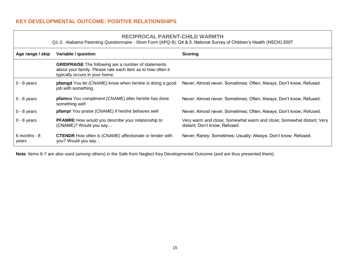#### <span id="page-18-0"></span>**KEY DEVELOPMENTAL OUTCOME: POSITIVE RELATIONSHIPS**

#### **RECIPROCAL PARENT-CHILD WARMTH**

Q1-3. Alabama Parenting Questionnaire - Short Form (APQ-9); Q4 & 5. National Survey of Children's Health (NSCH) 2007

<span id="page-18-1"></span>

| Age range / skip      | Variable / question                                                                                                                                         | Scoring                                                                                               |
|-----------------------|-------------------------------------------------------------------------------------------------------------------------------------------------------------|-------------------------------------------------------------------------------------------------------|
|                       | <b>GRIDPRAISE</b> The following are a number of statements<br>about your family. Please rate each item as to how often it<br>typically occurs in your home. |                                                                                                       |
| $0 - 8$ years         | <b>pfamgd</b> You let (CNAME) know when he/she is doing a good<br>job with something.                                                                       | Never; Almost never; Sometimes; Often; Always; Don't know; Refused.                                   |
| $0 - 8$ years         | pfamco You compliment (CNAME) after he/she has done<br>something well                                                                                       | Never; Almost never; Sometimes; Often; Always; Don't know; Refused.                                   |
| $0 - 8$ years         | pfampr You praise (CNAME) if he/she behaves well                                                                                                            | Never; Almost never; Sometimes; Often; Always; Don't know; Refused.                                   |
| $0 - 8$ years         | <b>PFAMRE</b> How would you describe your relationship to<br>(CNAME)? Would you say                                                                         | Very warm and close; Somewhat warm and close; Somewhat distant; Very<br>distant; Don't know; Refused. |
| 6 months - 8<br>years | <b>CTENDR</b> How often is (CNAME) affectionate or tender with<br>you? Would you say                                                                        | Never; Rarely; Sometimes; Usually; Always; Don't know; Refused.                                       |

**Note**: Items 6-7 are also used (among others) in the Safe from Neglect Key Developmental Outcome (and are thus presented there).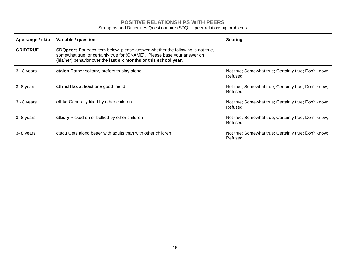#### **POSITIVE RELATIONSHIPS WITH PEERS**

Strengths and Difficulties Questionnaire (SDQ) – peer relationship problems

<span id="page-19-0"></span>

| Age range / skip | Variable / question                                                                                                                                                                                                                   | Scoring                                                          |
|------------------|---------------------------------------------------------------------------------------------------------------------------------------------------------------------------------------------------------------------------------------|------------------------------------------------------------------|
| <b>GRIDTRUE</b>  | <b>SDQpeers</b> For each item below, please answer whether the following is not true,<br>somewhat true, or certainly true for (CNAME). Please base your answer on<br>(his/her) behavior over the last six months or this school year. |                                                                  |
| $3 - 8$ years    | ctalon Rather solitary, prefers to play alone                                                                                                                                                                                         | Not true; Somewhat true; Certainly true; Don't know;<br>Refused. |
| 3-8 years        | ctfrnd Has at least one good friend                                                                                                                                                                                                   | Not true; Somewhat true; Certainly true; Don't know;<br>Refused. |
| $3 - 8$ years    | ctlike Generally liked by other children                                                                                                                                                                                              | Not true; Somewhat true; Certainly true; Don't know;<br>Refused. |
| 3-8 years        | ctbuly Picked on or bullied by other children                                                                                                                                                                                         | Not true; Somewhat true; Certainly true; Don't know;<br>Refused. |
| 3-8 years        | ctadu Gets along better with adults than with other children                                                                                                                                                                          | Not true; Somewhat true; Certainly true; Don't know;<br>Refused. |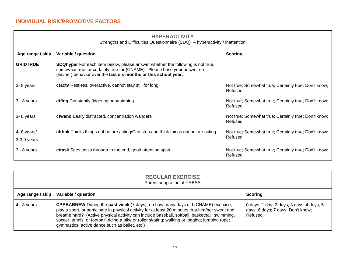| <b>HYPERACTIVITY</b>                                                     |  |
|--------------------------------------------------------------------------|--|
| and Difficulties Questionnaire $(8DQ)$ by persetivity $\ell$ institution |  |

<span id="page-20-1"></span><span id="page-20-0"></span>

| Strengths and Difficulties Questionnaire (SDQ) – hyperactivity / inattention |                                                                                                                                                                                                                                |                                                                  |
|------------------------------------------------------------------------------|--------------------------------------------------------------------------------------------------------------------------------------------------------------------------------------------------------------------------------|------------------------------------------------------------------|
| Age range / skip                                                             | Variable / question                                                                                                                                                                                                            | <b>Scoring</b>                                                   |
| <b>GRIDTRUE</b>                                                              | SDQhyper For each item below, please answer whether the following is not true,<br>somewhat true, or certainly true for (CNAME). Please base your answer on<br>(his/her) behavior over the last six months or this school year. |                                                                  |
| 3-8 years                                                                    | ctacty Restless, overactive, cannot stay still for long                                                                                                                                                                        | Not true; Somewhat true; Certainly true; Don't know;<br>Refused. |
| $3 - 8$ years                                                                | ctfidg Constantly fidgeting or squirming                                                                                                                                                                                       | Not true; Somewhat true; Certainly true; Don't know;<br>Refused. |
| 3-8 years                                                                    | ctwand Easily distracted, concentration wanders                                                                                                                                                                                | Not true; Somewhat true; Certainly true; Don't know;<br>Refused. |
| 4-8 years/<br>$3-3.9$ years                                                  | <b>ctthnk</b> Thinks things out before acting/Can stop and think things out before acting                                                                                                                                      | Not true; Somewhat true; Certainly true; Don't know;<br>Refused. |
| $3 - 8$ years                                                                | cttask Sees tasks through to the end, good attention span                                                                                                                                                                      | Not true; Somewhat true; Certainly true; Don't know;<br>Refused. |

<span id="page-20-2"></span>

|                  | <b>REGULAR EXERCISE</b><br>Parent adaptation of YRBSS                                                                                                                                                                                                                                                                                                                                                                                            |                                                                                           |
|------------------|--------------------------------------------------------------------------------------------------------------------------------------------------------------------------------------------------------------------------------------------------------------------------------------------------------------------------------------------------------------------------------------------------------------------------------------------------|-------------------------------------------------------------------------------------------|
| Age range / skip | Variable / question                                                                                                                                                                                                                                                                                                                                                                                                                              | <b>Scoring</b>                                                                            |
| $4 - 8$ years    | <b>CPABABNEW</b> During the past week (7 days), on how many days did (CNAME) exercise,<br>play a sport, or participate in physical activity for at least 20 minutes that him/her sweat and<br>breathe hard? (Active physical activity can include baseball, softball, basketball, swimming,<br>soccer, tennis, or football; riding a bike or roller skating; walking or jogging; jumping rope;<br>gymnastics; active dance such as ballet, etc.) | 0 days; 1 day; 2 days; 3 days; 4 days; 5<br>days; 6 days; 7 days; Don't know;<br>Refused. |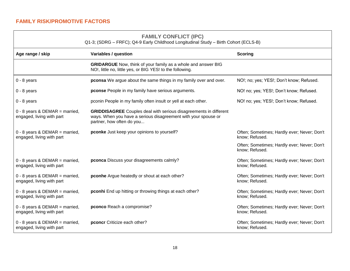#### **FAMILY CONFLICT (IPC)**

Q1-3; (SDRG – FRFC); Q4-9 Early Childhood Longitudinal Study – Birth Cohort (ECLS-B)

<span id="page-21-1"></span><span id="page-21-0"></span>

| Age range / skip                                              | Variables / question                                                                                                                                                    | <b>Scoring</b>                                                |
|---------------------------------------------------------------|-------------------------------------------------------------------------------------------------------------------------------------------------------------------------|---------------------------------------------------------------|
|                                                               | <b>GRIDARGUE</b> Now, think of your family as a whole and answer BIG<br>NO!, little no, little yes, or BIG YES! to the following.                                       |                                                               |
| $0 - 8$ years                                                 | <b>pconsa</b> We argue about the same things in my family over and over.                                                                                                | NO!; no; yes; YES!; Don't know; Refused.                      |
| $0 - 8$ years                                                 | pconse People in my family have serious arguments.                                                                                                                      | NO! no; yes; YES!; Don't know; Refused.                       |
| $0 - 8$ years                                                 | pconin People in my family often insult or yell at each other.                                                                                                          | NO! no; yes; YES!; Don't know; Refused.                       |
| $0 - 8$ years & DEMAR = married,<br>engaged, living with part | <b>GRIDDISAGREE</b> Couples deal with serious disagreements in different<br>ways. When you have a serious disagreement with your spouse or<br>partner, how often do you |                                                               |
| $0 - 8$ years & DEMAR = married,<br>engaged, living with part | pconke Just keep your opinions to yourself?                                                                                                                             | Often; Sometimes; Hardly ever; Never; Don't<br>know; Refused. |
|                                                               |                                                                                                                                                                         | Often; Sometimes; Hardly ever; Never; Don't<br>know; Refused. |
| $0 - 8$ years & DEMAR = married,<br>engaged, living with part | pconca Discuss your disagreements calmly?                                                                                                                               | Often; Sometimes; Hardly ever; Never; Don't<br>know; Refused. |
| $0 - 8$ years & DEMAR = married,<br>engaged, living with part | pconhe Argue heatedly or shout at each other?                                                                                                                           | Often; Sometimes; Hardly ever; Never; Don't<br>know; Refused. |
| $0 - 8$ years & DEMAR = married,<br>engaged, living with part | pconhi End up hitting or throwing things at each other?                                                                                                                 | Often; Sometimes; Hardly ever; Never; Don't<br>know; Refused. |
| $0 - 8$ years & DEMAR = married,<br>engaged, living with part | pconco Reach a compromise?                                                                                                                                              | Often; Sometimes; Hardly ever; Never; Don't<br>know; Refused. |
| $0 - 8$ years & DEMAR = married,<br>engaged, living with part | pconcr Criticize each other?                                                                                                                                            | Often; Sometimes; Hardly ever; Never; Don't<br>know; Refused. |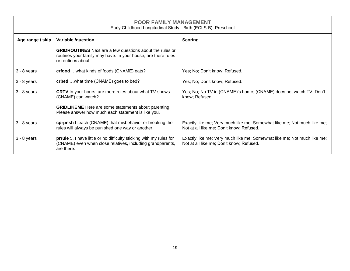<span id="page-22-0"></span>

| <b>POOR FAMILY MANAGEMENT</b><br>Early Childhood Longitudinal Study - Birth (ECLS-B), Preschool |                                                                                                                                                       |                                                                                                                     |
|-------------------------------------------------------------------------------------------------|-------------------------------------------------------------------------------------------------------------------------------------------------------|---------------------------------------------------------------------------------------------------------------------|
| Age range / skip                                                                                | <b>Variable /question</b><br><b>Scoring</b>                                                                                                           |                                                                                                                     |
|                                                                                                 | <b>GRIDROUTINES</b> Next are a few questions about the rules or<br>routines your family may have. In your house, are there rules<br>or routines about |                                                                                                                     |
| 3 - 8 years                                                                                     | crfood  what kinds of foods (CNAME) eats?                                                                                                             | Yes; No; Don't know; Refused.                                                                                       |
| 3 - 8 years                                                                                     | crbed  what time (CNAME) goes to bed?                                                                                                                 | Yes; No; Don't know; Refused.                                                                                       |
| 3 - 8 years                                                                                     | <b>CRTV</b> In your hours, are there rules about what TV shows<br>(CNAME) can watch?                                                                  | Yes; No; No TV in (CNAME)'s home; (CNAME) does not watch TV; Don't<br>know; Refused.                                |
|                                                                                                 | <b>GRIDLIKEME</b> Here are some statements about parenting.<br>Please answer how much each statement is like you.                                     |                                                                                                                     |
| 3 - 8 years                                                                                     | cprpnsh I teach (CNAME) that misbehavior or breaking the<br>rules will always be punished one way or another.                                         | Exactly like me; Very much like me; Somewhat like me; Not much like me;<br>Not at all like me; Don't know; Refused. |
| 3 - 8 years                                                                                     | prrule 5. I have little or no difficulty sticking with my rules for<br>(CNAME) even when close relatives, including grandparents,<br>are there.       | Exactly like me; Very much like me; Somewhat like me; Not much like me;<br>Not at all like me; Don't know; Refused. |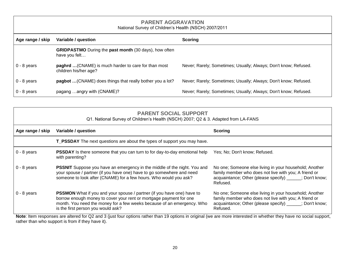## **PARENT AGGRAVATION**

| National Survey of Children's Health (NSCH) 2007/2011 |  |
|-------------------------------------------------------|--|
|-------------------------------------------------------|--|

<span id="page-23-0"></span>

| Age range / skip | Variable / question                                                                  | <b>Scoring</b>                                                  |
|------------------|--------------------------------------------------------------------------------------|-----------------------------------------------------------------|
|                  | <b>GRIDPASTMO</b> During the <b>past month</b> (30 days), how often<br>have you felt |                                                                 |
| $0 - 8$ years    | paghrd  (CNAME) is much harder to care for than most<br>children his/her age?        | Never; Rarely; Sometimes; Usually; Always; Don't know; Refused. |
| $0 - 8$ years    | pagbot  (CNAME) does things that really bother you a lot?                            | Never; Rarely; Sometimes; Usually; Always; Don't know; Refused. |
| $0 - 8$ years    | pagang angry with (CNAME)?                                                           | Never; Rarely; Sometimes; Usually; Always; Don't know; Refused. |

#### **PARENT SOCIAL SUPPORT**

#### Q1. National Survey of Children's Health (NSCH) 2007; Q2 & 3. Adapted from LA-FANS

<span id="page-23-1"></span>

| Age range / skip | Variable / question                                                                                                                                                                                                                                                 | <b>Scoring</b>                                                                                                                                                                         |
|------------------|---------------------------------------------------------------------------------------------------------------------------------------------------------------------------------------------------------------------------------------------------------------------|----------------------------------------------------------------------------------------------------------------------------------------------------------------------------------------|
|                  | T_PSSDAY The next questions are about the types of support you may have.                                                                                                                                                                                            |                                                                                                                                                                                        |
| $0 - 8$ years    | <b>PSSDAY</b> Is there someone that you can turn to for day-to-day emotional help<br>with parenting?                                                                                                                                                                | Yes; No; Don't know; Refused.                                                                                                                                                          |
| $0 - 8$ years    | <b>PSSNIT</b> Suppose you have an emergency in the middle of the night. You and<br>your spouse / partner (if you have one) have to go somewhere and need<br>someone to look after (CNAME) for a few hours. Who would you ask?                                       | No one; Someone else living in your household; Another<br>family member who does not live with you; A friend or<br>acquaintance; Other (please specify) _____; Don't know;<br>Refused. |
| $0 - 8$ years    | <b>PSSMON</b> What if you and your spouse / partner (if you have one) have to<br>borrow enough money to cover your rent or mortgage payment for one<br>month. You need the money for a few weeks because of an emergency. Who<br>is the first person you would ask? | No one; Someone else living in your household; Another<br>family member who does not live with you; A friend or<br>acquaintance; Other (please specify) _____; Don't know;<br>Refused. |

**Note**: Item responses are altered for Q2 and 3 (just four options rather than 19 options in original (we are more interested in whether they have no social support, rather than who support is from if they have it).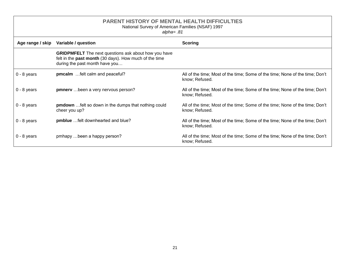<span id="page-24-0"></span>

| <b>PARENT HISTORY OF MENTAL HEALTH DIFFICULTIES</b><br>National Survey of American Families (NSAF) 1997<br>$alpha = .81$ |                                                                                                                                                                |                                                                                                |
|--------------------------------------------------------------------------------------------------------------------------|----------------------------------------------------------------------------------------------------------------------------------------------------------------|------------------------------------------------------------------------------------------------|
| Age range / skip                                                                                                         | Variable / question<br><b>Scoring</b>                                                                                                                          |                                                                                                |
|                                                                                                                          | <b>GRIDPMFELT</b> The next questions ask about how you have<br>felt in the <b>past month</b> (30 days). How much of the time<br>during the past month have you |                                                                                                |
| $0 - 8$ years                                                                                                            | pmcalm felt calm and peaceful?                                                                                                                                 | All of the time; Most of the time; Some of the time; None of the time; Don't<br>know; Refused. |
| $0 - 8$ years                                                                                                            | <b>pmnerv</b> been a very nervous person?                                                                                                                      | All of the time; Most of the time; Some of the time; None of the time; Don't<br>know; Refused. |
| $0 - 8$ years                                                                                                            | pmdown  felt so down in the dumps that nothing could<br>cheer you up?                                                                                          | All of the time; Most of the time; Some of the time; None of the time; Don't<br>know; Refused. |
| $0 - 8$ years                                                                                                            | pmblue felt downhearted and blue?                                                                                                                              | All of the time; Most of the time; Some of the time; None of the time; Don't<br>know; Refused. |
| $0 - 8$ years                                                                                                            | pmhapy been a happy person?                                                                                                                                    | All of the time; Most of the time; Some of the time; None of the time; Don't<br>know; Refused. |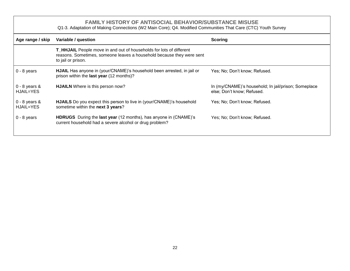#### **FAMILY HISTORY OF ANTISOCIAL BEHAVIOR/SUBSTANCE MISUSE**

Q1-3. Adaptation of Making Connections (W2 Main Core); Q4. Modified Communities That Care (CTC) Youth Survey

<span id="page-25-0"></span>

| Age range / skip               | Variable / question                                                                                                                                                | <b>Scoring</b>                                                                     |
|--------------------------------|--------------------------------------------------------------------------------------------------------------------------------------------------------------------|------------------------------------------------------------------------------------|
|                                | T_HHJAIL People move in and out of households for lots of different<br>reasons. Sometimes, someone leaves a household because they were sent<br>to jail or prison. |                                                                                    |
| $0 - 8$ years                  | <b>HJAIL</b> Has anyone in (your/CNAME)'s household been arrested, in jail or<br>prison within the last year (12 months)?                                          | Yes; No; Don't know; Refused.                                                      |
| $0 - 8$ years $8$<br>HJAIL=YES | <b>HJAILN</b> Where is this person now?                                                                                                                            | In (my/CNAME)'s household; In jail/prison; Someplace<br>else; Don't know; Refused. |
| $0 - 8$ years &<br>HJAIL=YES   | <b>HJAILS</b> Do you expect this person to live in (your/CNAME)'s household<br>sometime within the next 3 years?                                                   | Yes; No; Don't know; Refused.                                                      |
| $0 - 8$ years                  | HDRUGS During the last year (12 months), has anyone in (CNAME)'s<br>current household had a severe alcohol or drug problem?                                        | Yes; No; Don't know; Refused.                                                      |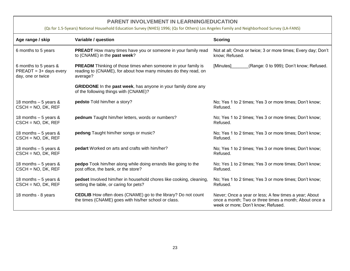#### **PARENT INVOLVEMENT IN LEARNING/EDUCATION**

#### (Qs for 1.5-5years) National Household Education Survey (NHES) 1996; (Qs for Others) Los Angeles Family and Neighborhood Survey (LA-FANS)

<span id="page-26-0"></span>

| Age range / skip                                                        | Variable / question                                                                                                                                 | <b>Scoring</b>                                                                                                                                        |
|-------------------------------------------------------------------------|-----------------------------------------------------------------------------------------------------------------------------------------------------|-------------------------------------------------------------------------------------------------------------------------------------------------------|
| 6 months to 5 years                                                     | PREADT How many times have you or someone in your family read<br>to (CNAME) in the past week?                                                       | Not at all; Once or twice; 3 or more times; Every day; Don't<br>know; Refused.                                                                        |
| 6 months to 5 years &<br>$PREADT = 3 + days$ every<br>day, one or twice | <b>PREADM</b> Thinking of those times when someone in your family is<br>reading to (CNAME), for about how many minutes do they read, on<br>average? | (Range: 0 to 999); Don't know; Refused.<br>[Minutes]                                                                                                  |
|                                                                         | <b>GRIDDONE</b> In the <b>past week</b> , has anyone in your family done any<br>of the following things with (CNAME)?                               |                                                                                                                                                       |
| 18 months $-5$ years &<br>$CSCH = NO$ , DK, REF                         | pedsto Told him/her a story?                                                                                                                        | No; Yes 1 to 2 times; Yes 3 or more times; Don't know;<br>Refused.                                                                                    |
| 18 months $-5$ years &<br>$CSCH = NO$ , DK, REF                         | pednum Taught him/her letters, words or numbers?                                                                                                    | No; Yes 1 to 2 times; Yes 3 or more times; Don't know;<br>Refused.                                                                                    |
| 18 months $-5$ years &<br>$CSCH = NO$ , DK, REF                         | pedsng Taught him/her songs or music?                                                                                                               | No; Yes 1 to 2 times; Yes 3 or more times; Don't know;<br>Refused.                                                                                    |
| 18 months $-5$ years &<br>$CSCH = NO$ , DK, REF                         | pedart Worked on arts and crafts with him/her?                                                                                                      | No; Yes 1 to 2 times; Yes 3 or more times; Don't know;<br>Refused.                                                                                    |
| 18 months $-5$ years &<br>$CSCH = NO$ , DK, REF                         | pedpo Took him/her along while doing errands like going to the<br>post office, the bank, or the store?                                              | No; Yes 1 to 2 times; Yes 3 or more times; Don't know;<br>Refused.                                                                                    |
| 18 months $-5$ years &<br>$CSCH = NO$ , DK, REF                         | pedset Involved him/her in household chores like cooking, cleaning,<br>setting the table, or caring for pets?                                       | No; Yes 1 to 2 times; Yes 3 or more times; Don't know;<br>Refused.                                                                                    |
| 18 months - 8 years                                                     | <b>CEDLIB</b> How often does (CNAME) go to the library? Do not count<br>the times (CNAME) goes with his/her school or class.                        | Never; Once a year or less; A few times a year; About<br>once a month; Two or three times a month; About once a<br>week or more; Don't know; Refused. |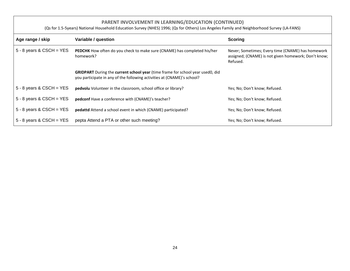#### **PARENT INVOLVEMENT IN LEARNING/EDUCATION (CONTINUED)**

(Qs for 1.5-5years) National Household Education Survey (NHES) 1996; (Qs for Others) Los Angeles Family and Neighborhood Survey (LA-FANS)

<span id="page-27-0"></span>

| Age range / skip           | Variable / question                                                                                                                                                     | <b>Scoring</b>                                                                                                        |
|----------------------------|-------------------------------------------------------------------------------------------------------------------------------------------------------------------------|-----------------------------------------------------------------------------------------------------------------------|
| $5 - 8$ years & CSCH = YES | PEDCHK How often do you check to make sure (CNAME) has completed his/her<br>homework?                                                                                   | Never; Sometimes; Every time (CNAME) has homework<br>assigned; (CNAME) is not given homework; Don't know;<br>Refused. |
|                            | <b>GRIDPART</b> During the <b>current school year</b> (time frame for school year used0, did<br>you participate in any of the following activities at (CNAME)'s school? |                                                                                                                       |
| $5 - 8$ years & CSCH = YES | pedvolu Volunteer in the classroom, school office or library?                                                                                                           | Yes; No; Don't know; Refused.                                                                                         |
| $5 - 8$ years & CSCH = YES | pedconf Have a conference with (CNAME)'s teacher?                                                                                                                       | Yes; No; Don't know; Refused.                                                                                         |
| $5 - 8$ years & CSCH = YES | pedattd Attend a school event in which (CNAME) participated?                                                                                                            | Yes; No; Don't know; Refused.                                                                                         |
| $5 - 8$ years & CSCH = YES | pepta Attend a PTA or other such meeting?                                                                                                                               | Yes; No; Don't know; Refused.                                                                                         |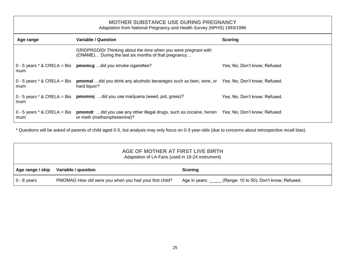<span id="page-28-0"></span>

| <b>MOTHER SUBSTANCE USE DURING PREGNANCY</b><br>Adaptation from National Pregnancy and Health Survey (NPHS) 1993/1996 |                                                                                                                                                             |                               |  |
|-----------------------------------------------------------------------------------------------------------------------|-------------------------------------------------------------------------------------------------------------------------------------------------------------|-------------------------------|--|
| Age range                                                                                                             | Variable / Question                                                                                                                                         | <b>Scoring</b>                |  |
|                                                                                                                       | GRIDPRGDID/ Thinking about the time when you were pregnant with<br>(CNAME) During the last six months of that pregnancy                                     |                               |  |
| mum                                                                                                                   | $0 - 5$ years * & CRELA = Bio promotion of did you smoke cigarettes?                                                                                        | Yes; No; Don't know; Refused. |  |
| 0 - 5 years $*$ & CRELA = Bio<br>mum                                                                                  | <b>pmomal</b> did you drink any alcoholic beverages such as beer, wine, or Yes; No; Don't know; Refused.<br>hard liquor?                                    |                               |  |
| mum                                                                                                                   | 0 - 5 years * & CRELA = Bio prommj did you use marijuana (weed, pot, grass)?                                                                                | Yes; No; Don't know; Refused. |  |
| mum                                                                                                                   | 0 - 5 years * & CRELA = Bio promut did you use any other illegal drugs, such as cocaine, heroin Yes; No; Don't know; Refused.<br>or meth (methamphetamine)? |                               |  |

\* Questions will be asked of parents of child aged 0-5, but analysis may only focus on 0-3 year-olds (due to concerns about retrospective recall bias).

<span id="page-28-1"></span>

| AGE OF MOTHER AT FIRST LIVE BIRTH<br>Adaptation of LA-Fans (used in 18-24 instrument) |                                                        |                                                          |
|---------------------------------------------------------------------------------------|--------------------------------------------------------|----------------------------------------------------------|
| Age range / skip                                                                      | Variable / question                                    | <b>Scoring</b>                                           |
| $0 - 8$ years                                                                         | PMOMAG How old were you when you had your first child? | (Range: 10 to 50); Don't know; Refused.<br>Age in years: |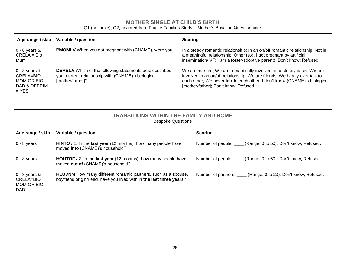#### **MOTHER SINGLE AT CHILD'S BIRTH**

Q1 (bespoke); Q2; adapted from Fragile Families Study – Mother's Baseline Questionnaire

<span id="page-29-0"></span>

| Age range / skip                                                             | Variable / question                                                                                                                       | <b>Scoring</b>                                                                                                                                                                                                                                                              |
|------------------------------------------------------------------------------|-------------------------------------------------------------------------------------------------------------------------------------------|-----------------------------------------------------------------------------------------------------------------------------------------------------------------------------------------------------------------------------------------------------------------------------|
| $\vert$ 0 - 8 years &<br>  CRELA = Bio<br>l Mum                              | <b>PMOMLV</b> When you got pregnant with (CNAME), were you                                                                                | In a steady romantic relationship; In an on/off romantic relationship; Not in<br>a meaningful relationship; Other (e.g. I got pregnant by artificial<br>insemination/IVF; I am a foster/adoptive parent); Don't know; Refused.                                              |
| $0 - 8$ years &<br>l CRELA=BIO_<br>I MOM OR BIO<br>l DAD & DEPRIM<br>$=$ YES | <b>DERELA</b> Which of the following statements best describes<br>your current relationship with (CNAME)'s biological<br>[mother/father]? | We are married; We are romantically involved on a steady basis; We are<br>involved in an on/off relationship; We are friends; We hardly ever talk to<br>each other; We never talk to each other; I don't know (CNAME)'s biological<br>[mother/father]; Don't know; Refused. |

<span id="page-29-1"></span>

| <b>TRANSITIONS WITHIN THE FAMILY AND HOME</b><br><b>Bespoke Questions</b> |                                                                                                                                                |                                                                  |  |
|---------------------------------------------------------------------------|------------------------------------------------------------------------------------------------------------------------------------------------|------------------------------------------------------------------|--|
| Age range / skip                                                          | Variable / question                                                                                                                            | <b>Scoring</b>                                                   |  |
| $0 - 8$ years                                                             | HINTO / 1. In the last year (12 months), how many people have<br>moved into (CNAME)'s household?                                               | Number of people: ____ (Range: 0 to 50); Don't know; Refused.    |  |
| $0 - 8$ years                                                             | <b>HOUTOF</b> / 2. In the <b>last year</b> (12 months), how many people have<br>moved out of (CNAME)'s household?                              | Number of people: ____ (Range: 0 to 50); Don't know; Refused.    |  |
| $0 - 8$ years &<br>CRELA=BIO<br>MOM OR BIO<br><b>DAD</b>                  | <b>HLUVNM</b> How many different romantic partners, such as a spouse,<br>boyfriend or girlfriend, have you lived with in the last three years? | Number of partners: _____ (Range: 0 to 20); Don't know; Refused. |  |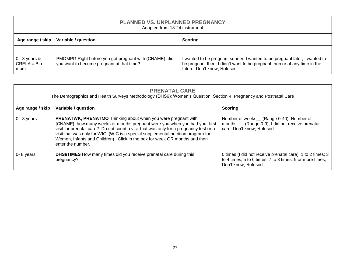### **PLANNED VS. UNPLANNED PREGNANCY**

Adapted from 18-24 instrument

<span id="page-30-0"></span>

| Age range / skip                           | Variable / question                                                                                 | Scoring                                                                                                                                                                                 |
|--------------------------------------------|-----------------------------------------------------------------------------------------------------|-----------------------------------------------------------------------------------------------------------------------------------------------------------------------------------------|
| $0 - 8$ years $\&$<br>$CRELA = Bio$<br>mum | PMOMPG Right before you got pregnant with (CNAME), did<br>you want to become pregnant at that time? | I wanted to be pregnant sooner; I wanted to be pregnant later; I wanted to<br>be pregnant then; I didn't want to be pregnant then or at any time in the<br>future; Don't know; Refused. |

<span id="page-30-1"></span>

| <b>PRENATAL CARE</b><br>The Demographics and Health Surveys Methodology (DHS6); Women's Question; Section 4. Pregnancy and Postnatal Care |                                                                                                                                                                                                                                                                                                                                                                                                                                      |                                                                                                                                               |  |
|-------------------------------------------------------------------------------------------------------------------------------------------|--------------------------------------------------------------------------------------------------------------------------------------------------------------------------------------------------------------------------------------------------------------------------------------------------------------------------------------------------------------------------------------------------------------------------------------|-----------------------------------------------------------------------------------------------------------------------------------------------|--|
| Age range / skip                                                                                                                          | Variable / question                                                                                                                                                                                                                                                                                                                                                                                                                  | Scoring                                                                                                                                       |  |
| $0 - 8$ years                                                                                                                             | <b>PRENATWK, PRENATMO</b> Thinking about when you were pregnant with<br>{CNAME}, how many weeks or months pregnant were you when you had your first<br>visit for prenatal care? Do not count a visit that was only for a pregnancy test or a<br>visit that was only for WIC. (WIC is a special supplemental nutrition program for<br>Women, Infants and Children). Click in the box for week OR months and then<br>enter the number. | Number of weeks_(Range 0-40); Number of<br>months____ (Range 0-9); I did not receive prenatal<br>care; Don't know; Refused                    |  |
| 0-8 years                                                                                                                                 | <b>DHS6TIMES</b> How many times did you receive prenatal care during this<br>pregnancy?                                                                                                                                                                                                                                                                                                                                              | 0 times (I did not receive prenatal care); 1 to 2 times; 3<br>to 4 times; 5 to 6 times; 7 to 8 times; 9 or more times;<br>Don't know; Refused |  |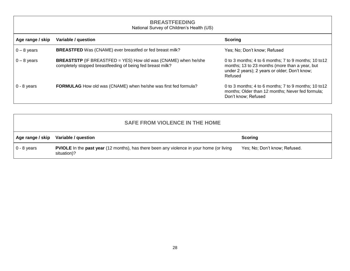<span id="page-31-0"></span>

| <b>BREASTFEEDING</b><br>National Survey of Children's Health (US) |                                                                                                                                     |                                                                                                                                                                     |
|-------------------------------------------------------------------|-------------------------------------------------------------------------------------------------------------------------------------|---------------------------------------------------------------------------------------------------------------------------------------------------------------------|
| Age range / skip                                                  | Variable / question                                                                                                                 | <b>Scoring</b>                                                                                                                                                      |
| $0 - 8$ years                                                     | <b>BREASTFED</b> Was (CNAME) ever breastfed or fed breast milk?                                                                     | Yes; No; Don't know; Refused                                                                                                                                        |
| $0 - 8$ years                                                     | <b>BREASTSTP</b> (IF BREASTFED = YES) How old was (CNAME) when he/she<br>completely stopped breastfeeding of being fed breast milk? | 0 to 3 months; 4 to 6 months; 7 to 9 months; 10 to 12<br>months; 13 to 23 months (more than a year, but<br>under 2 years); 2 years or older; Don't know;<br>Refused |
| $0 - 8$ years                                                     | FORMULAG How old was (CNAME) when he/she was first fed formula?                                                                     | 0 to 3 months; 4 to 6 months; 7 to 9 months; 10 to $12$<br>months; Older than 12 months; Never fed formula;<br>Don't know; Refused                                  |

<span id="page-31-1"></span>

| <b>SAFE FROM VIOLENCE IN THE HOME</b> |                                                                                                                       |                               |
|---------------------------------------|-----------------------------------------------------------------------------------------------------------------------|-------------------------------|
| Age range / skip                      | Variable / question                                                                                                   | <b>Scoring</b>                |
| $\vert$ 0 - 8 years                   | <b>PVIOLE</b> In the <b>past year</b> (12 months), has there been any violence in your home (or living<br>situation)? | Yes; No; Don't know; Refused. |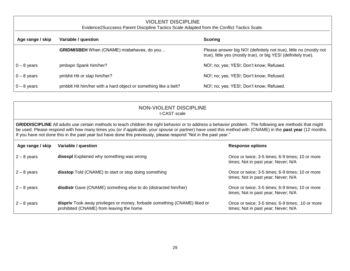<span id="page-32-0"></span>

| <b>VIOLENT DISCIPLINE</b><br>Evidence2Succsess Parent Discipline Tactics Scale Adapted from the Conflict Tactics Scale. |                                                                 |                                                                                                                                       |  |
|-------------------------------------------------------------------------------------------------------------------------|-----------------------------------------------------------------|---------------------------------------------------------------------------------------------------------------------------------------|--|
| Age range / skip                                                                                                        | <b>Scoring</b><br>Variable / question                           |                                                                                                                                       |  |
|                                                                                                                         | <b>GRIDMISBEH</b> When (CNAME) misbehaves, do you               | Please answer big NO! (definitely not true), little no (mostly not<br>true), little yes (mostly true), or big YES! (definitely true). |  |
| $0 - 8$ years                                                                                                           | pmbspn Spank him/her?                                           | NO!; no; yes; YES!; Don't know; Refused.                                                                                              |  |
| $0 - 8$ years                                                                                                           | pmbhit Hit or slap him/her?                                     | NO!; no; yes; YES!; Don't know; Refused.                                                                                              |  |
| $0 - 8$ years                                                                                                           | pmbblt Hit him/her with a hard object or something like a belt? | NO!; no; yes; YES!; Don't know; Refused.                                                                                              |  |

#### **NON-VIOLENT DISCIPLINE** I-CAST scale

<span id="page-32-1"></span>**GRIDDISCIPLINE** All adults use certain methods to teach children the right behavior or to address a behavior problem. The following are methods that might be used. Please respond with how many times you (o*r if applicable*, your spouse or partner) have used this method with (CNAME) in the **past year** (12 months. If you have not done this in the past year but have done this previously, please respond "Not in the past year."

| Age range / skip | Variable / question                                                                                                   | <b>Response options</b>                                                                 |
|------------------|-----------------------------------------------------------------------------------------------------------------------|-----------------------------------------------------------------------------------------|
| $2 - 8$ years    | disexpl Explained why something was wrong                                                                             | Once or twice; 3-5 times; 6-9 times; 10 or more<br>times; Not in past year; Never; N/A  |
| $2 - 8$ years    | <b>disstop</b> Told (CNAME) to start or stop doing something                                                          | Once or twice; 3-5 times; 6-9 times; 10 or more<br>times; Not in past year; Never; N/A  |
| $2 - 8$ years    | disdistr Gave (CNAME) something else to do (distracted him/her)                                                       | Once or twice; 3-5 times; 6-9 times; 10 or more<br>times; Not in past year; Never; N/A  |
| $2 - 8$ years    | dispriv Took away privileges or money, forbade something (CNAME) liked or<br>prohibited (CNAME) from leaving the home | Once or twice; 3-5 times; 6-9 times; .10 or more<br>times; Not in past year; Never; N/A |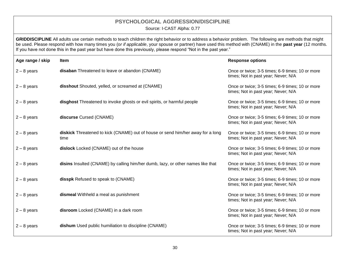## **PSYCHOLOGICAL AGGRESSION/DISCIPLINE**

Source: I-CAST Alpha: 0.77

<span id="page-33-0"></span>**GRIDDISCIPLINE** All adults use certain methods to teach children the right behavior or to address a behavior problem. The following are methods that might be used. Please respond with how many times you (o*r if applicable*, your spouse or partner) have used this method with (CNAME) in the **past year** (12 months. If you have not done this in the past year but have done this previously, please respond "Not in the past year."

| Age range / skip | <b>Item</b>                                                                             | <b>Response options</b>                                                                |
|------------------|-----------------------------------------------------------------------------------------|----------------------------------------------------------------------------------------|
| $2 - 8$ years    | disaban Threatened to leave or abandon (CNAME)                                          | Once or twice; 3-5 times; 6-9 times; 10 or more<br>times; Not in past year; Never; N/A |
| $2 - 8$ years    | disshout Shouted, yelled, or screamed at (CNAME)                                        | Once or twice; 3-5 times; 6-9 times; 10 or more<br>times; Not in past year; Never; N/A |
| $2 - 8$ years    | disghost Threatened to invoke ghosts or evil spirits, or harmful people                 | Once or twice; 3-5 times; 6-9 times; 10 or more<br>times; Not in past year; Never; N/A |
| $2 - 8$ years    | discurse Cursed (CNAME)                                                                 | Once or twice; 3-5 times; 6-9 times; 10 or more<br>times; Not in past year; Never; N/A |
| $2 - 8$ years    | diskick Threatened to kick (CNAME) out of house or send him/her away for a long<br>time | Once or twice; 3-5 times; 6-9 times; 10 or more<br>times; Not in past year; Never; N/A |
| $2 - 8$ years    | dislock Locked (CNAME) out of the house                                                 | Once or twice; 3-5 times; 6-9 times; 10 or more<br>times; Not in past year; Never; N/A |
| $2 - 8$ years    | disins Insulted (CNAME) by calling him/her dumb, lazy, or other names like that         | Once or twice; 3-5 times; 6-9 times; 10 or more<br>times; Not in past year; Never; N/A |
| $2 - 8$ years    | disspk Refused to speak to (CNAME)                                                      | Once or twice; 3-5 times; 6-9 times; 10 or more<br>times; Not in past year; Never; N/A |
| $2 - 8$ years    | dismeal Withheld a meal as punishment                                                   | Once or twice; 3-5 times; 6-9 times; 10 or more<br>times; Not in past year; Never; N/A |
| $2 - 8$ years    | disroom Locked (CNAME) in a dark room                                                   | Once or twice; 3-5 times; 6-9 times; 10 or more<br>times; Not in past year; Never; N/A |
| $2 - 8$ years    | dishum Used public humiliation to discipline (CNAME)                                    | Once or twice; 3-5 times; 6-9 times; 10 or more<br>times; Not in past year; Never; N/A |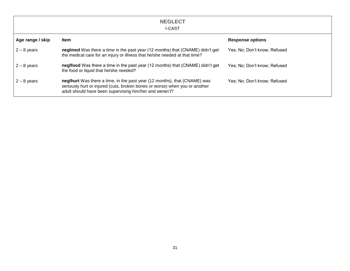<span id="page-34-0"></span>

|                  | <b>NEGLECT</b><br><b>I-CAST</b>                                                                                                                                                                                     |                              |
|------------------|---------------------------------------------------------------------------------------------------------------------------------------------------------------------------------------------------------------------|------------------------------|
| Age range / skip | <b>Item</b>                                                                                                                                                                                                         | <b>Response options</b>      |
| $2 - 8$ years    | negImed Was there a time in the past year (12 months) that (CNAME) didn't get<br>the medical care for an injury or illness that he/she needed at that time?                                                         | Yes: No: Don't know: Refused |
| $2 - 8$ years    | neglfood Was there a time in the past year (12 months) that (CNAME) didn't get<br>the food or liquid that he/she needed?                                                                                            | Yes: No: Don't know: Refused |
| $2 - 8$ years    | neglhurt Was there a time, in the past year (12 months), that (CNAME) was<br>seriously hurt or injured (cuts, broken bones or worse) when you or another<br>adult should have been supervising him/her and weren't? | Yes: No: Don't know: Refused |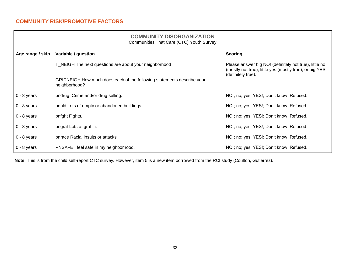#### **COMMUNITY DISORGANIZATION** Communities That Care (CTC) Youth Survey

<span id="page-35-1"></span><span id="page-35-0"></span>

| $\frac{1}{2}$    |                                                                                         |                                                                                                                                          |
|------------------|-----------------------------------------------------------------------------------------|------------------------------------------------------------------------------------------------------------------------------------------|
| Age range / skip | Variable / question                                                                     | <b>Scoring</b>                                                                                                                           |
|                  | T_NEIGH The next questions are about your neighborhood                                  | Please answer big NO! (definitely not true), little no<br>(mostly not true), little yes (mostly true), or big YES!<br>(definitely true). |
|                  | GRIDNEIGH How much does each of the following statements describe your<br>neighborhood? |                                                                                                                                          |
| $0 - 8$ years    | pndrug Crime and/or drug selling.                                                       | NO!; no; yes; YES!; Don't know; Refused.                                                                                                 |
| $0 - 8$ years    | pnbld Lots of empty or abandoned buildings.                                             | NO!; no; yes; YES!; Don't know; Refused.                                                                                                 |
| $0 - 8$ years    | pnfght Fights.                                                                          | NO!; no; yes; YES!; Don't know; Refused.                                                                                                 |
| $0 - 8$ years    | pngraf Lots of graffiti.                                                                | NO!; no; yes; YES!; Don't know; Refused.                                                                                                 |
| $0 - 8$ years    | pnrace Racial insults or attacks                                                        | NO!; no; yes; YES!; Don't know; Refused.                                                                                                 |
| $0 - 8$ years    | PNSAFE I feel safe in my neighborhood.                                                  | NO!; no; yes; YES!; Don't know; Refused.                                                                                                 |

**Note**: This is from the child self-report CTC survey. However, item 5 is a new item borrowed from the RCI study (Coulton, Gutierrez).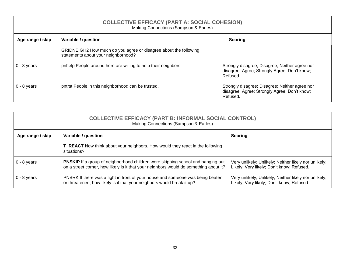<span id="page-36-0"></span>

| <b>COLLECTIVE EFFICACY (PART A: SOCIAL COHESION)</b><br>Making Connections (Sampson & Earles) |                                                                                                         |                                                                                                            |  |
|-----------------------------------------------------------------------------------------------|---------------------------------------------------------------------------------------------------------|------------------------------------------------------------------------------------------------------------|--|
| Age range / skip                                                                              | Variable / question<br><b>Scoring</b>                                                                   |                                                                                                            |  |
|                                                                                               | GRIDNEIGH2 How much do you agree or disagree about the following<br>statements about your neighborhood? |                                                                                                            |  |
| $0 - 8$ years                                                                                 | pnhelp People around here are willing to help their neighbors                                           | Strongly disagree; Disagree; Neither agree nor<br>disagree; Agree; Strongly Agree; Don't know;<br>Refused. |  |
| $0 - 8$ years                                                                                 | pntrst People in this neighborhood can be trusted.                                                      | Strongly disagree; Disagree; Neither agree nor<br>disagree; Agree; Strongly Agree; Don't know;<br>Refused. |  |

<span id="page-36-1"></span>

| <b>COLLECTIVE EFFICACY (PART B: INFORMAL SOCIAL CONTROL)</b><br>Making Connections (Sampson & Earles) |                                                                                                                                                                                 |                                                                                                    |  |
|-------------------------------------------------------------------------------------------------------|---------------------------------------------------------------------------------------------------------------------------------------------------------------------------------|----------------------------------------------------------------------------------------------------|--|
| Age range / skip                                                                                      | Variable / question<br><b>Scoring</b>                                                                                                                                           |                                                                                                    |  |
|                                                                                                       | <b>T_REACT</b> Now think about your neighbors. How would they react in the following<br>situations?                                                                             |                                                                                                    |  |
| $0 - 8$ years                                                                                         | <b>PNSKIP</b> If a group of neighborhood children were skipping school and hanging out<br>on a street corner, how likely is it that your neighbors would do something about it? | Very unlikely; Unlikely; Neither likely nor unlikely;<br>Likely; Very likely; Don't know; Refused. |  |
| $0 - 8$ years                                                                                         | PNBRK If there was a fight in front of your house and someone was being beaten<br>or threatened, how likely is it that your neighbors would break it up?                        | Very unlikely; Unlikely; Neither likely nor unlikely;<br>Likely; Very likely; Don't know; Refused. |  |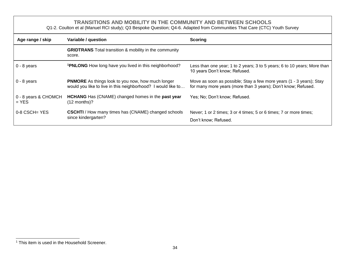#### **TRANSITIONS AND MOBILITY IN THE COMMUNITY AND BETWEEN SCHOOLS**

Q1-2. Coulton et al (Manuel RCI study); Q3 Bespoke Question; Q4-6. Adapted from Communities That Care (CTC) Youth Survey

<span id="page-37-0"></span>

| Age range / skip                | Variable / question                                                                                                      | <b>Scoring</b>                                                                                                                       |
|---------------------------------|--------------------------------------------------------------------------------------------------------------------------|--------------------------------------------------------------------------------------------------------------------------------------|
|                                 | <b>GRIDTRANS</b> Total transition & mobility in the community<br>score.                                                  |                                                                                                                                      |
| $0 - 8$ years                   | <b>1PNLONG</b> How long have you lived in this neighborhood?                                                             | Less than one year; 1 to 2 years; 3 to 5 years; 6 to 10 years; More than<br>10 years Don't know; Refused.                            |
| $0 - 8$ years                   | <b>PNMORE</b> As things look to you now, how much longer<br>would you like to live in this neighborhood? I would like to | Move as soon as possible; Stay a few more years (1 - 3 years); Stay<br>for many more years (more than 3 years); Don't know; Refused. |
| 0 - 8 years & CHOMCH<br>$=$ YES | <b>HCHANG</b> Has (CNAME) changed homes in the <b>past year</b><br>$(12$ months)?                                        | Yes; No; Don't know; Refused.                                                                                                        |
| $0-8$ CSCH= YES                 | <b>CSCHTI</b> / How many times has (CNAME) changed schools<br>since kindergarten?                                        | Never; 1 or 2 times; 3 or 4 times; 5 or 6 times; 7 or more times;<br>Don't know: Refused.                                            |

 $\overline{a}$ <sup>1</sup> This item is used in the Household Screener.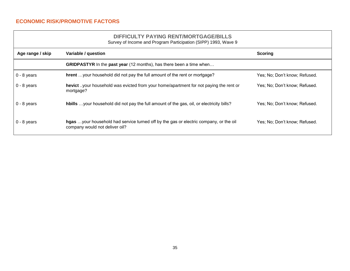#### <span id="page-38-0"></span>**ECONOMIC RISK/PROMOTIVE FACTORS**

company would not deliver oil?

## **DIFFICULTY PAYING RENT/MORTGAGE/BILLS**

<span id="page-38-1"></span>Survey of Income and Program Participation (SIPP) 1993, Wave 9 **Age range / skip Variable / question Scoring GRIDPASTYR** In the **past year** (12 months), has there been a time when… 0 - 8 years **hrent** ...your household did not pay the full amount of the rent or mortgage? Yes; No; Don't know; Refused. 0 - 8 years **hevict** ..your household was evicted from your home/apartment for not paying the rent or mortgage? Yes; No; Don't know; Refused. 0 - 8 years **hbills** …your household did not pay the full amount of the gas, oil, or electricity bills? Yes; No; Don't know; Refused. 0 - 8 years **hgas** …your household had service turned off by the gas or electric company, or the oil Yes; No; Don't know; Refused.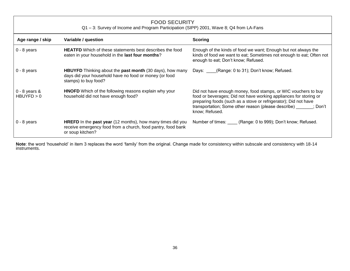<span id="page-39-0"></span>

| <b>FOOD SECURITY</b><br>Q1 - 3: Survey of Income and Program Participation (SIPP) 2001, Wave 8; Q4 from LA-Fans |                                                                                                                                                              |                                                                                                                                                                                                                                                                                               |  |
|-----------------------------------------------------------------------------------------------------------------|--------------------------------------------------------------------------------------------------------------------------------------------------------------|-----------------------------------------------------------------------------------------------------------------------------------------------------------------------------------------------------------------------------------------------------------------------------------------------|--|
| Age range / skip                                                                                                | Variable / question                                                                                                                                          | <b>Scoring</b>                                                                                                                                                                                                                                                                                |  |
| $0 - 8$ years                                                                                                   | <b>HEATFD</b> Which of these statements best describes the food<br>eaten in your household in the last four months?                                          | Enough of the kinds of food we want; Enough but not always the<br>kinds of food we want to eat; Sometimes not enough to eat; Often not<br>enough to eat; Don't know; Refused.                                                                                                                 |  |
| $0 - 8$ years                                                                                                   | <b>HBUYFD</b> Thinking about the <b>past month</b> (30 days), how many<br>days did your household have no food or money (or food<br>stamps) to buy food?     | (Range: 0 to 31); Don't know; Refused.<br>Days:                                                                                                                                                                                                                                               |  |
| $0 - 8$ years $8$<br>HBUYFD > 0                                                                                 | <b>HNOFD</b> Which of the following reasons explain why your<br>household did not have enough food?                                                          | Did not have enough money, food stamps, or WIC vouchers to buy<br>food or beverages; Did not have working appliances for storing or<br>preparing foods (such as a stove or refrigerator); Did not have<br>transportation; Some other reason (please describe) ______; Don't<br>know; Refused. |  |
| $0 - 8$ years                                                                                                   | <b>HREFD</b> In the <b>past year</b> (12 months), how many times did you<br>receive emergency food from a church, food pantry, food bank<br>or soup kitchen? | Number of times: (Range: 0 to 999); Don't know; Refused.                                                                                                                                                                                                                                      |  |

**Note**: the word 'household' in item 3 replaces the word 'family' from the original. Change made for consistency within subscale and consistency with 18-14 instruments.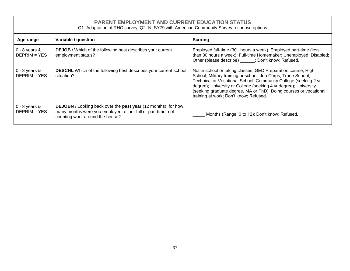#### **PARENT EMPLOYMENT AND CURRENT EDUCATION STATUS**

Q1. Adaptation of RHC survey; Q2. NLSY79 with American Community Survey response options

<span id="page-40-0"></span>

| Age range                           | Variable / question                                                                                                                                                            | Scoring                                                                                                                                                                                                                                                                                                                                                                              |
|-------------------------------------|--------------------------------------------------------------------------------------------------------------------------------------------------------------------------------|--------------------------------------------------------------------------------------------------------------------------------------------------------------------------------------------------------------------------------------------------------------------------------------------------------------------------------------------------------------------------------------|
| $0 - 8$ years $8$<br>$DEFRIM = YES$ | <b>DEJOB</b> / Which of the following best describes your current<br>employment status?                                                                                        | Employed full-time (30+ hours a week); Employed part-time (less<br>than 30 hours a week); Full-time Homemaker; Unemployed; Disabled;<br>Other (please describe) ; Don't know; Refused.                                                                                                                                                                                               |
| $0 - 8$ years $8$<br>$DEFRIM = YES$ | <b>DESCHL</b> Which of the following best describes your current school<br>situation?                                                                                          | Not in school or taking classes; GED Preparation course; High<br>School; Military training or school; Job Corps; Trade School;<br>Technical or Vocational School; Community College (seeking 2 yr<br>degree); University or College (seeking 4 yr degree); University<br>(seeking graduate degree, MA or PhD); Doing courses or vocational<br>training at work; Don't know; Refused. |
| $0 - 8$ years &<br>$DEFRIM = YES$   | <b>DEJOBN</b> / Looking back over the <b>past year</b> (12 months), for how<br>many months were you employed, either full or part time, not<br>counting work around the house? | Months (Range: 0 to 12); Don't know; Refused.                                                                                                                                                                                                                                                                                                                                        |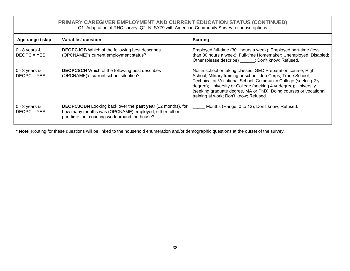## **PRIMARY CAREGIVER EMPLOYMENT AND CURRENT EDUCATION STATUS (CONTINUED)**

| Q1. Adaptation of RHC survey; Q2. NLSY79 with American Community Survey response options |  |  |
|------------------------------------------------------------------------------------------|--|--|
|------------------------------------------------------------------------------------------|--|--|

<span id="page-41-0"></span>

| Age range / skip                    | Variable / question                                                                                                                                                                  | Scoring                                                                                                                                                                                                                                                                                                                                                                              |
|-------------------------------------|--------------------------------------------------------------------------------------------------------------------------------------------------------------------------------------|--------------------------------------------------------------------------------------------------------------------------------------------------------------------------------------------------------------------------------------------------------------------------------------------------------------------------------------------------------------------------------------|
| $0 - 8$ years &<br>$DEOPC = YES$    | <b>DEOPCJOB</b> Which of the following best describes<br>(OPCNAME)'s current employment status?                                                                                      | Employed full-time (30+ hours a week); Employed part-time (less<br>than 30 hours a week); Full-time Homemaker; Unemployed; Disabled;<br>Other (please describe) _____; Don't know; Refused.                                                                                                                                                                                          |
| $0 - 8$ years $\&$<br>$DEOPC = YES$ | <b>DEOPCSCH</b> Which of the following best describes<br>(OPCNAME)'s current school situation?                                                                                       | Not in school or taking classes; GED Preparation course; High<br>School; Military training or school; Job Corps; Trade School;<br>Technical or Vocational School; Community College (seeking 2 yr<br>degree); University or College (seeking 4 yr degree); University<br>(seeking graduate degree, MA or PhD); Doing courses or vocational<br>training at work; Don't know; Refused. |
| $0 - 8$ years &<br>$DEOPC = YES$    | <b>DEOPCJOBN</b> Looking back over the <b>past year</b> (12 months), for<br>how many months was (OPCNAME) employed, either full or<br>part time, not counting work around the house? | Months (Range: 0 to 12); Don't know; Refused.                                                                                                                                                                                                                                                                                                                                        |

**\* Note**: Routing for these questions will be linked to the household enumeration and/or demographic questions at the outset of the survey.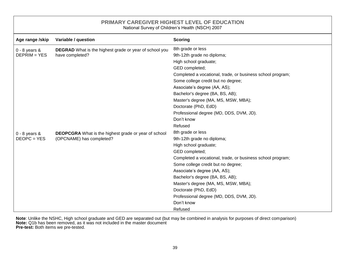<span id="page-42-0"></span>

| <b>PRIMARY CAREGIVER HIGHEST LEVEL OF EDUCATION</b><br>National Survey of Children's Health (NSCH) 2007 |                                                                                         |                                                            |  |
|---------------------------------------------------------------------------------------------------------|-----------------------------------------------------------------------------------------|------------------------------------------------------------|--|
| Age range /skip                                                                                         | Variable / question                                                                     | <b>Scoring</b>                                             |  |
| $0 - 8$ years &                                                                                         | <b>DEGRAD</b> What is the highest grade or year of school you                           | 8th grade or less                                          |  |
| $DEFRIM = YES$                                                                                          | have completed?                                                                         | 9th-12th grade no diploma;                                 |  |
|                                                                                                         |                                                                                         | High school graduate;                                      |  |
|                                                                                                         |                                                                                         | GED completed;                                             |  |
|                                                                                                         |                                                                                         | Completed a vocational, trade, or business school program; |  |
|                                                                                                         |                                                                                         | Some college credit but no degree;                         |  |
|                                                                                                         |                                                                                         | Associate's degree (AA, AS);                               |  |
|                                                                                                         |                                                                                         | Bachelor's degree (BA, BS, AB);                            |  |
|                                                                                                         |                                                                                         | Master's degree (MA, MS, MSW, MBA);                        |  |
|                                                                                                         |                                                                                         | Doctorate (PhD, EdD)                                       |  |
|                                                                                                         |                                                                                         | Professional degree (MD, DDS, DVM, JD).                    |  |
|                                                                                                         |                                                                                         | Don't know                                                 |  |
| $0 - 8$ years $\&$                                                                                      | <b>DEOPCGRA</b> What is the highest grade or year of school<br>(OPCNAME) has completed? | Refused                                                    |  |
|                                                                                                         |                                                                                         | 8th grade or less                                          |  |
| $DEOPC = YES$                                                                                           |                                                                                         | 9th-12th grade no diploma;                                 |  |
|                                                                                                         |                                                                                         | High school graduate;                                      |  |
|                                                                                                         |                                                                                         | GED completed;                                             |  |
|                                                                                                         |                                                                                         | Completed a vocational, trade, or business school program; |  |
|                                                                                                         |                                                                                         | Some college credit but no degree;                         |  |
|                                                                                                         |                                                                                         | Associate's degree (AA, AS);                               |  |
|                                                                                                         |                                                                                         | Bachelor's degree (BA, BS, AB);                            |  |
|                                                                                                         |                                                                                         | Master's degree (MA, MS, MSW, MBA);                        |  |
|                                                                                                         |                                                                                         | Doctorate (PhD, EdD)                                       |  |
|                                                                                                         |                                                                                         | Professional degree (MD, DDS, DVM, JD).                    |  |
|                                                                                                         |                                                                                         | Don't know                                                 |  |
|                                                                                                         |                                                                                         | Refused                                                    |  |

**Note**: Unlike the NSHC, High school graduate and GED are separated out (but may be combined in analysis for purposes of direct comparison) **Note:** Q1b has been removed, as it was not included in the master document **Pre-test:** Both items we pre-tested.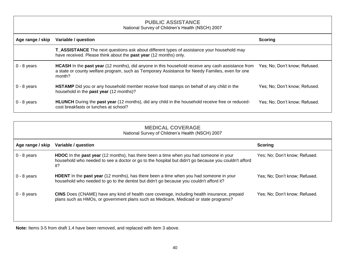#### **PUBLIC ASSISTANCE** National Survey of Children's Health (NSCH) 2007

<span id="page-43-0"></span>

| Age range / skip | Variable / question                                                                                                                                                                                                           | <b>Scoring</b>                |
|------------------|-------------------------------------------------------------------------------------------------------------------------------------------------------------------------------------------------------------------------------|-------------------------------|
|                  | <b>T_ASSISTANCE</b> The next questions ask about different types of assistance your household may<br>have received. Please think about the past year (12 months) only.                                                        |                               |
| $0 - 8$ years    | <b>HCASH</b> In the <b>past year</b> (12 months), did anyone in this household receive any cash assistance from<br>a state or county welfare program, such as Temporary Assistance for Needy Families, even for one<br>month? | Yes; No; Don't know; Refused. |
| $0 - 8$ years    | <b>HSTAMP</b> Did you or any household member receive food stamps on behalf of any child in the<br>household in the <b>past year</b> (12 months)?                                                                             | Yes; No; Don't know; Refused. |
| $0 - 8$ years    | <b>HLUNCH</b> During the <b>past year</b> (12 months), did any child in the household receive free or reduced-<br>cost breakfasts or lunches at school?                                                                       | Yes; No; Don't know; Refused. |

<span id="page-43-1"></span>

| <b>MEDICAL COVERAGE</b><br>National Survey of Children's Health (NSCH) 2007 |                                                                                                                                                                                                                    |                               |  |
|-----------------------------------------------------------------------------|--------------------------------------------------------------------------------------------------------------------------------------------------------------------------------------------------------------------|-------------------------------|--|
| Age range / skip                                                            | Variable / question                                                                                                                                                                                                | <b>Scoring</b>                |  |
| $0 - 8$ years                                                               | <b>HDOC</b> In the <b>past year</b> (12 months), has there been a time when you had someone in your<br>household who needed to see a doctor or go to the hospital but didn't go because you couldn't afford<br>it? | Yes; No; Don't know; Refused. |  |
| $0 - 8$ years                                                               | <b>HDENT</b> In the past year (12 months), has there been a time when you had someone in your<br>household who needed to go to the dentist but didn't go because you couldn't afford it?                           | Yes; No; Don't know; Refused. |  |
| $0 - 8$ years                                                               | <b>CINS</b> Does (CNAME) have any kind of health care coverage, including health insurance, prepaid<br>plans such as HMOs, or government plans such as Medicare, Medicaid or state programs?                       | Yes; No; Don't know; Refused. |  |

**Note:** Items 3-5 from draft 1.4 have been removed, and replaced with item 3 above.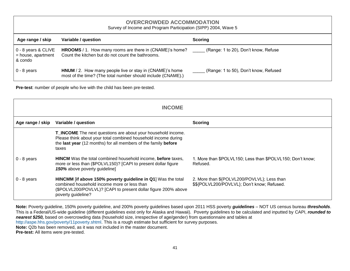#### <span id="page-44-0"></span>**OVERCROWDED ACCOMMODATION** Survey of Income and Program Participation (SIPP) 2004, Wave 5 **Age range / skip Variable / question Scoring** 0 - 8 years & CLIVE = house, apartment & condo **HROOMS** / 1. How many rooms are there in (CNAME)'s home? Count the kitchen but do not count the bathrooms. (Range: 1 to 20), Don't know, Refuse 0 - 8 years **HNUM** / 2. How many people live or stay in (CNAME)'s home most of the time? (The total number should include (CNAME).) (Range: 1 to 50), Don't know, Refused

**Pre-test**: number of people who live with the child has been pre-tested.

<span id="page-44-1"></span>

| <b>INCOME</b>    |                                                                                                                                                                                                                  |                                                                                            |
|------------------|------------------------------------------------------------------------------------------------------------------------------------------------------------------------------------------------------------------|--------------------------------------------------------------------------------------------|
| Age range / skip | Variable / question                                                                                                                                                                                              | <b>Scoring</b>                                                                             |
|                  | <b>T_INCOME</b> The next questions are about your household income.<br>Please think about your total combined household income during<br>the last year (12 months) for all members of the family before<br>taxes |                                                                                            |
| $0 - 8$ years    | <b>HINCM</b> Was the total combined household income, before taxes,<br>more or less than (\$POLVL150)? [CAPI to present dollar figure<br>150% above poverty guideline]                                           | 1. More than \$POLVL150; Less than \$POLVL150; Don't know;<br>Refused.                     |
| $0 - 8$ years    | HINCMM [if above 150% poverty guideline in Q1] Was the total<br>combined household income more or less than<br>(\$POLVL200/POVLVL)? [CAPI to present dollar figure 200% above<br>poverty guideline?              | 2. More than \${POLVL200/POVLVL}; Less than<br>\$\${POLVL200/POVLVL}; Don't know; Refused. |

**Note:** Poverty guideline, 150% poverty guideline, and 200% poverty guidelines based upon 2011 HSS poverty *guidelines* – NOT US census bureau *thresholds*. This is a Federal/US-wide guideline (different guidelines exist only for Alaska and Hawaii). Poverty guidelines to be calculated and inputted by CAPI, *rounded to nearest \$250,* based on overcrowding data (household size, irrespective of age/gender) from questionnaire and tables at [http://aspe.hhs.gov/poverty/11poverty.shtml.](http://aspe.hhs.gov/poverty/11poverty.shtml) This is a rough estimate but sufficient for survey purposes. **Note:** Q2b has been removed, as it was not included in the master document. **Pre-test:** All items were pre-tested.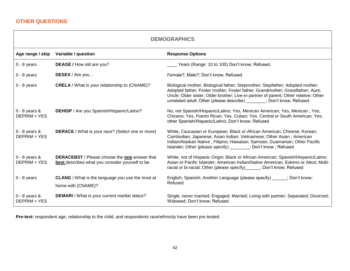<span id="page-45-1"></span><span id="page-45-0"></span>

| <b>DEMOGRAPHICS</b>                  |                                                                                                          |                                                                                                                                                                                                                                                                                                                                 |
|--------------------------------------|----------------------------------------------------------------------------------------------------------|---------------------------------------------------------------------------------------------------------------------------------------------------------------------------------------------------------------------------------------------------------------------------------------------------------------------------------|
| Age range / skip                     | Variable / question                                                                                      | <b>Response Options</b>                                                                                                                                                                                                                                                                                                         |
| $0 - 8$ years                        | DEAGE / How old are you?                                                                                 | Years (Range: 10 to 100) Don't know; Refused.                                                                                                                                                                                                                                                                                   |
| $0 - 8$ years                        | <b>DESEX</b> / Are you                                                                                   | Female?; Male?; Don't know; Refused.                                                                                                                                                                                                                                                                                            |
| $0 - 8$ years                        | <b>CRELA</b> / What is your relationship to (CNAME)?                                                     | Biological mother; Biological father; Stepmother; Stepfather; Adopted mother;<br>Adopted father; Foster mother; Foster father; Grandmother; Grandfather; Aunt;<br>Uncle; Older sister; Older brother; Live-in partner of parent; Other relative; Other<br>unrelated adult; Other (please describe) ______; Don't know; Refused. |
| $0 - 8$ years &<br>$DEFRIM = YES$    | DEHISP / Are you Spanish/Hispanic/Latino?                                                                | No, not Spanish/Hispanic/Latino; Yes, Mexican American; Yes, Mexican; Yes,<br>Chicano; Yes, Puerto Rican; Yes, Cuban; Yes, Central or South American; Yes,<br>other Spanish/Hispanic/Latino; Don't know; Refused                                                                                                                |
| $0 - 8$ years $\&$<br>$DEFRIM = YES$ | <b>DERACE</b> / What is your race? (Select one or more)                                                  | White, Caucasian or European; Black or African American; Chinese; Korean;<br>Cambodian; Japanese; Asian Indian; Vietnamese; Other Asian; American<br>Indian/Alaskan Native; Filipino; Hawaiian; Samoan; Guamanian; Other Pacific<br>Islander; Other (please specify) ______; Don't know; Refused                                |
| $0 - 8$ years $\&$<br>$DEFRIM = YES$ | <b>DERACEBST</b> / Please choose the one answer that<br>best describes what you consider yourself to be. | White, not of Hispanic Origin; Black or African American; Spanish/Hispanic/Latino;<br>Asian or Pacific Islander; American Indian/Native American, Eskimo or Aleut; Multi-<br>racial or bi-racial; Other (please specify) _____; Don't know; Refused                                                                             |
| $0 - 8$ years                        | <b>CLANG</b> / What is the language you use the most at<br>home with (CNAME)?                            | English; Spanish; Another Language (please specify) _____; Don't know;<br>Refused                                                                                                                                                                                                                                               |
| $0 - 8$ years &<br>$DEFRIM = YES$    | DEMARI / What is your current marital status?                                                            | Single, never married; Engaged; Married; Living with partner; Separated; Divorced;<br>Widowed; Don't know; Refused.                                                                                                                                                                                                             |

┑

**Pre-test:** respondent age, relationship to the child, and respondents race/ethnicity have been pre-tested.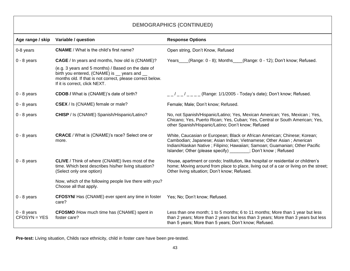<span id="page-46-0"></span>

| <b>DEMOGRAPHICS (CONTINUED)</b> |                                                                                                                                                                                                   |                                                                                                                                                                                                                                                                                                   |  |  |  |
|---------------------------------|---------------------------------------------------------------------------------------------------------------------------------------------------------------------------------------------------|---------------------------------------------------------------------------------------------------------------------------------------------------------------------------------------------------------------------------------------------------------------------------------------------------|--|--|--|
| Age range / skip                | Variable / question                                                                                                                                                                               | <b>Response Options</b>                                                                                                                                                                                                                                                                           |  |  |  |
| 0-8 years                       | <b>CNAME</b> / What is the child's first name?                                                                                                                                                    | Open string, Don't Know, Refused                                                                                                                                                                                                                                                                  |  |  |  |
| $0 - 8$ years                   | <b>CAGE</b> / In years and months, how old is (CNAME)?                                                                                                                                            | $(Range: 0 - 8)$ ; Months<br>(Range: 0 - 12); Don't know; Refused.<br>Years                                                                                                                                                                                                                       |  |  |  |
|                                 | (e.g. 3 years and 5 months) / Based on the date of<br>birth you entered, (CNAME) is __ years and __<br>months old. If that is not correct, please correct below.<br>If it is correct, click NEXT. |                                                                                                                                                                                                                                                                                                   |  |  |  |
| $0 - 8$ years                   | <b>CDOB / What is (CNAME)'s date of birth?</b>                                                                                                                                                    | $\frac{1}{2}$ $\frac{1}{2}$ $\frac{1}{2}$ $\frac{1}{2}$ (Range: 1/1/2005 - Today's date); Don't know; Refused.                                                                                                                                                                                    |  |  |  |
| $0 - 8$ years                   | CSEX / Is (CNAME) female or male?                                                                                                                                                                 | Female; Male; Don't know; Refused.                                                                                                                                                                                                                                                                |  |  |  |
| $0 - 8$ years                   | CHISP / Is (CNAME) Spanish/Hispanic/Latino?                                                                                                                                                       | No, not Spanish/Hispanic/Latino; Yes, Mexican American; Yes, Mexican; Yes,<br>Chicano; Yes, Puerto Rican; Yes, Cuban; Yes, Central or South American; Yes,<br>other Spanish/Hispanic/Latino; Don't know; Refused                                                                                  |  |  |  |
| $0 - 8$ years                   | <b>CRACE</b> / What is (CNAME)'s race? Select one or<br>more.                                                                                                                                     | White, Caucasian or European; Black or African American; Chinese; Korean;<br>Cambodian; Japanese; Asian Indian; Vietnamese; Other Asian; American<br>Indian/Alaskan Native ; Filipino; Hawaiian; Samoan; Guamanian; Other Pacific<br>Islander; Other (please specify) ______; Don't know; Refused |  |  |  |
| $0 - 8$ years                   | <b>CLIVE</b> / Think of where (CNAME) lives most of the<br>time. Which best describes his/her living situation?<br>(Select only one option)                                                       | House, apartment or condo; Institution, like hospital or residential or children's<br>home; Moving around from place to place, living out of a car or living on the street;<br>Other living situation; Don't know; Refused.                                                                       |  |  |  |
|                                 | Now, which of the following people live there with you?<br>Choose all that apply.                                                                                                                 |                                                                                                                                                                                                                                                                                                   |  |  |  |
| $0 - 8$ years                   | <b>CFOSYN/</b> Has (CNAME) ever spent any time in foster<br>care?                                                                                                                                 | Yes; No; Don't know; Refused.                                                                                                                                                                                                                                                                     |  |  |  |
| $0 - 8$ years<br>$CFOSYN = YES$ | <b>CFOSMO</b> /How much time has (CNAME) spent in<br>foster care?                                                                                                                                 | Less than one month; 1 to 5 months; 6 to 11 months; More than 1 year but less<br>than 2 years; More than 2 years but less than 3 years; More than 3 years but less<br>than 5 years; More than 5 years; Don't know; Refused.                                                                       |  |  |  |

**Pre-test:** Living situation, Childs race ethnicity, child in foster care have been pre-tested.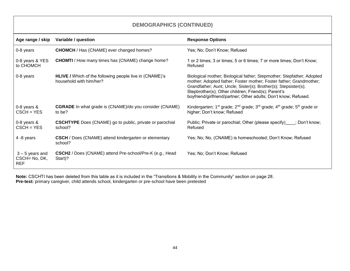<span id="page-47-0"></span>

| Age range / skip                                 | Variable / question                                                                       | <b>Response Options</b>                                                                                                                                                                                                                                                                                                                   |
|--------------------------------------------------|-------------------------------------------------------------------------------------------|-------------------------------------------------------------------------------------------------------------------------------------------------------------------------------------------------------------------------------------------------------------------------------------------------------------------------------------------|
| 0-8 years                                        | <b>CHOMCH</b> / Has (CNAME) ever changed homes?                                           | Yes; No; Don't Know; Refused                                                                                                                                                                                                                                                                                                              |
| 0-8 years & YES<br>to CHOMCH                     | <b>CHOMTI</b> / How many times has (CNAME) change home?                                   | 1 or 2 times; 3 or times; 5 or 6 times; 7 or more times; Don't Know;<br>Refused                                                                                                                                                                                                                                                           |
| 0-8 years                                        | <b>HLIVE /</b> Which of the following people live in (CNAME)'s<br>household with him/her? | Biological mother; Biological father; Stepmother; Stepfather; Adopted<br>mother; Adopted father; Foster mother; Foster father; Grandmother;<br>Grandfather; Aunt; Uncle; Sister(s); Brother(s); Stepsister(s);<br>Stepbrother(s); Other children; Friend(s); Parent's<br>boyfriend/girlfriend/partner; Other adults; Don't know; Refused. |
| $0-8$ years $8$<br>$CSCH = YES$                  | <b>CGRADE</b> In what grade is (CNAME)/do you consider (CNAME)<br>to be?                  | Kindergarten; 1 <sup>st</sup> grade; 2 <sup>nd</sup> grade; 3 <sup>rd</sup> grade; 4 <sup>th</sup> grade; 5 <sup>th</sup> grade or<br>higher; Don't know; Refused                                                                                                                                                                         |
| $0-8$ years $8$<br>$CSCH = YES$                  | <b>CSCHTYPE</b> Does (CNAME) go to public, private or parochial<br>school?                | Public; Private or parochial; Other (please specify) ___; Don't know;<br>Refused                                                                                                                                                                                                                                                          |
| 4 -8 years                                       | <b>CSCH</b> / Does (CNAME) attend kindergarten or elementary<br>school?                   | Yes; No; No, (CNAME) is homeschooled; Don't Know; Refused                                                                                                                                                                                                                                                                                 |
| $3 - 5$ years and<br>CSCH= No, DK,<br><b>REF</b> | <b>CSCH2</b> / Does (CNAME) attend Pre-school/Pre-K (e.g., Head<br>Start)?                | Yes; No; Don't Know; Refused                                                                                                                                                                                                                                                                                                              |

**Note:** CSCHTI has been deleted from this table as it is included in the "Transitions & Mobility in the Community" section on page 28. **Pre-test:** primary caregiver, child attends school, kindergarten or pre-school have been pretested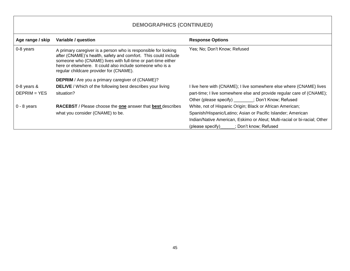<span id="page-48-0"></span>

| <b>DEMOGRAPHICS (CONTINUED)</b>   |                                                                                                                                                                                                                                                                                                          |                                                                                                                                              |  |  |
|-----------------------------------|----------------------------------------------------------------------------------------------------------------------------------------------------------------------------------------------------------------------------------------------------------------------------------------------------------|----------------------------------------------------------------------------------------------------------------------------------------------|--|--|
| Age range / skip                  | Variable / question                                                                                                                                                                                                                                                                                      | <b>Response Options</b>                                                                                                                      |  |  |
| 0-8 years                         | A primary caregiver is a person who is responsible for looking<br>after (CNAME)'s health, safety and comfort. This could include<br>someone who (CNAME) lives with full-time or part-time either<br>here or elsewhere. It could also include someone who is a<br>regular childcare provider for (CNAME). | Yes; No; Don't Know; Refused                                                                                                                 |  |  |
|                                   | <b>DEPRIM</b> / Are you a primary caregiver of (CNAME)?                                                                                                                                                                                                                                                  |                                                                                                                                              |  |  |
| $0-8$ years $8$<br>$DEFRIM = YES$ | <b>DELIVE</b> / Which of the following best describes your living<br>situation?                                                                                                                                                                                                                          | I live here with (CNAME); I live somewhere else where (CNAME) lives<br>part-time; I live somewhere else and provide regular care of (CNAME); |  |  |
|                                   |                                                                                                                                                                                                                                                                                                          | Other (please specify) _______; Don't Know; Refused                                                                                          |  |  |
| $0 - 8$ years                     | <b>RACEBST</b> / Please choose the one answer that best describes                                                                                                                                                                                                                                        | White, not of Hispanic Origin; Black or African American;                                                                                    |  |  |
|                                   | what you consider (CNAME) to be.                                                                                                                                                                                                                                                                         | Spanish/Hispanic/Latino; Asian or Pacific Islander; American                                                                                 |  |  |
|                                   |                                                                                                                                                                                                                                                                                                          | Indian/Native American, Eskimo or Aleut; Multi-racial or bi-racial; Other                                                                    |  |  |
|                                   |                                                                                                                                                                                                                                                                                                          | (please specify) ______; Don't know; Refused                                                                                                 |  |  |

┑